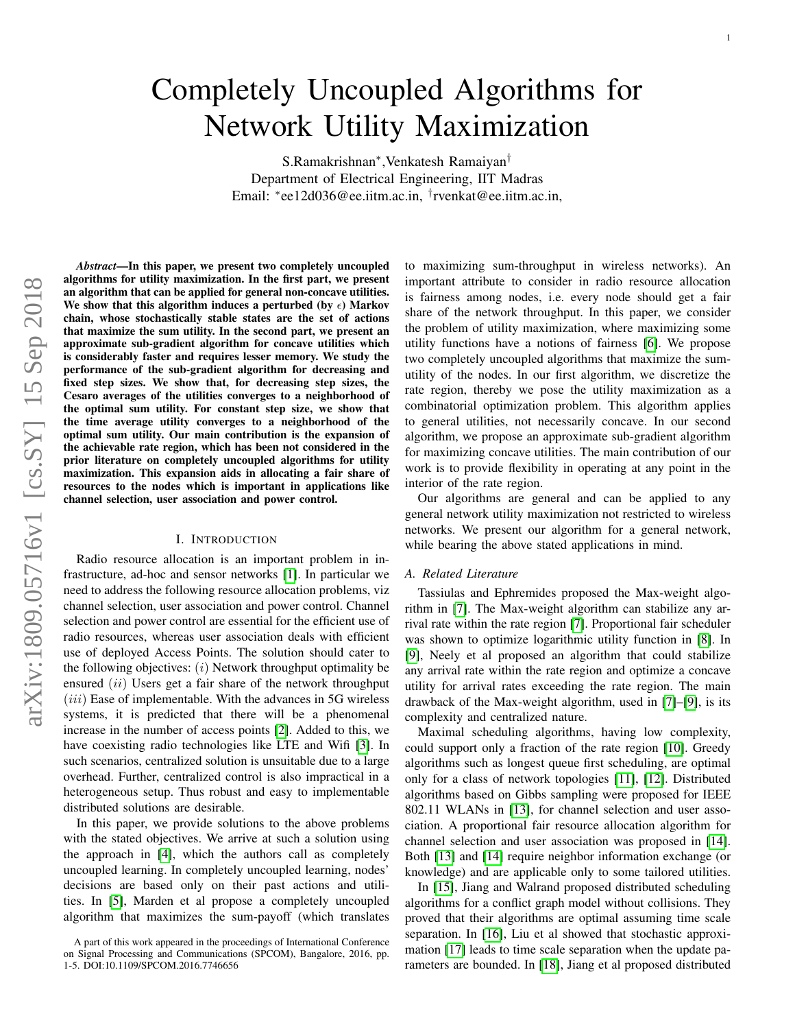# <span id="page-0-0"></span>Completely Uncoupled Algorithms for Network Utility Maximization

S.Ramakrishnan<sup>∗</sup> ,Venkatesh Ramaiyan† Department of Electrical Engineering, IIT Madras Email: <sup>∗</sup> ee12d036@ee.iitm.ac.in, † rvenkat@ee.iitm.ac.in,

*Abstract*—In this paper, we present two completely uncoupled algorithms for utility maximization. In the first part, we present an algorithm that can be applied for general non-concave utilities. We show that this algorithm induces a perturbed (by  $\epsilon$ ) Markov chain, whose stochastically stable states are the set of actions that maximize the sum utility. In the second part, we present an approximate sub-gradient algorithm for concave utilities which is considerably faster and requires lesser memory. We study the performance of the sub-gradient algorithm for decreasing and fixed step sizes. We show that, for decreasing step sizes, the Cesaro averages of the utilities converges to a neighborhood of the optimal sum utility. For constant step size, we show that the time average utility converges to a neighborhood of the optimal sum utility. Our main contribution is the expansion of the achievable rate region, which has been not considered in the prior literature on completely uncoupled algorithms for utility maximization. This expansion aids in allocating a fair share of resources to the nodes which is important in applications like channel selection, user association and power control.

# I. INTRODUCTION

Radio resource allocation is an important problem in infrastructure, ad-hoc and sensor networks [\[1\]](#page-13-0). In particular we need to address the following resource allocation problems, viz channel selection, user association and power control. Channel selection and power control are essential for the efficient use of radio resources, whereas user association deals with efficient use of deployed Access Points. The solution should cater to the following objectives:  $(i)$  Network throughput optimality be ensured  $(ii)$  Users get a fair share of the network throughput  $(iii)$  Ease of implementable. With the advances in 5G wireless systems, it is predicted that there will be a phenomenal increase in the number of access points [\[2\]](#page-13-1). Added to this, we have coexisting radio technologies like LTE and Wifi [\[3\]](#page-13-2). In such scenarios, centralized solution is unsuitable due to a large overhead. Further, centralized control is also impractical in a heterogeneous setup. Thus robust and easy to implementable distributed solutions are desirable.

In this paper, we provide solutions to the above problems with the stated objectives. We arrive at such a solution using the approach in [\[4\]](#page-13-3), which the authors call as completely uncoupled learning. In completely uncoupled learning, nodes' decisions are based only on their past actions and utilities. In [\[5\]](#page-13-4), Marden et al propose a completely uncoupled algorithm that maximizes the sum-payoff (which translates to maximizing sum-throughput in wireless networks). An important attribute to consider in radio resource allocation is fairness among nodes, i.e. every node should get a fair share of the network throughput. In this paper, we consider the problem of utility maximization, where maximizing some utility functions have a notions of fairness [\[6\]](#page-13-5). We propose two completely uncoupled algorithms that maximize the sumutility of the nodes. In our first algorithm, we discretize the rate region, thereby we pose the utility maximization as a combinatorial optimization problem. This algorithm applies to general utilities, not necessarily concave. In our second algorithm, we propose an approximate sub-gradient algorithm for maximizing concave utilities. The main contribution of our work is to provide flexibility in operating at any point in the interior of the rate region.

Our algorithms are general and can be applied to any general network utility maximization not restricted to wireless networks. We present our algorithm for a general network, while bearing the above stated applications in mind.

# *A. Related Literature*

Tassiulas and Ephremides proposed the Max-weight algorithm in [\[7\]](#page-13-6). The Max-weight algorithm can stabilize any arrival rate within the rate region [\[7\]](#page-13-6). Proportional fair scheduler was shown to optimize logarithmic utility function in [\[8\]](#page-13-7). In [\[9\]](#page-13-8), Neely et al proposed an algorithm that could stabilize any arrival rate within the rate region and optimize a concave utility for arrival rates exceeding the rate region. The main drawback of the Max-weight algorithm, used in [\[7\]](#page-13-6)–[\[9\]](#page-13-8), is its complexity and centralized nature.

Maximal scheduling algorithms, having low complexity, could support only a fraction of the rate region [\[10\]](#page-13-9). Greedy algorithms such as longest queue first scheduling, are optimal only for a class of network topologies [\[11\]](#page-13-10), [\[12\]](#page-13-11). Distributed algorithms based on Gibbs sampling were proposed for IEEE 802.11 WLANs in [\[13\]](#page-13-12), for channel selection and user association. A proportional fair resource allocation algorithm for channel selection and user association was proposed in [\[14\]](#page-13-13). Both [\[13\]](#page-13-12) and [\[14\]](#page-13-13) require neighbor information exchange (or knowledge) and are applicable only to some tailored utilities.

In [\[15\]](#page-13-14), Jiang and Walrand proposed distributed scheduling algorithms for a conflict graph model without collisions. They proved that their algorithms are optimal assuming time scale separation. In [\[16\]](#page-13-15), Liu et al showed that stochastic approximation [\[17\]](#page-13-16) leads to time scale separation when the update parameters are bounded. In [\[18\]](#page-13-17), Jiang et al proposed distributed

A part of this work appeared in the proceedings of International Conference on Signal Processing and Communications (SPCOM), Bangalore, 2016, pp. 1-5. DOI:10.1109/SPCOM.2016.7746656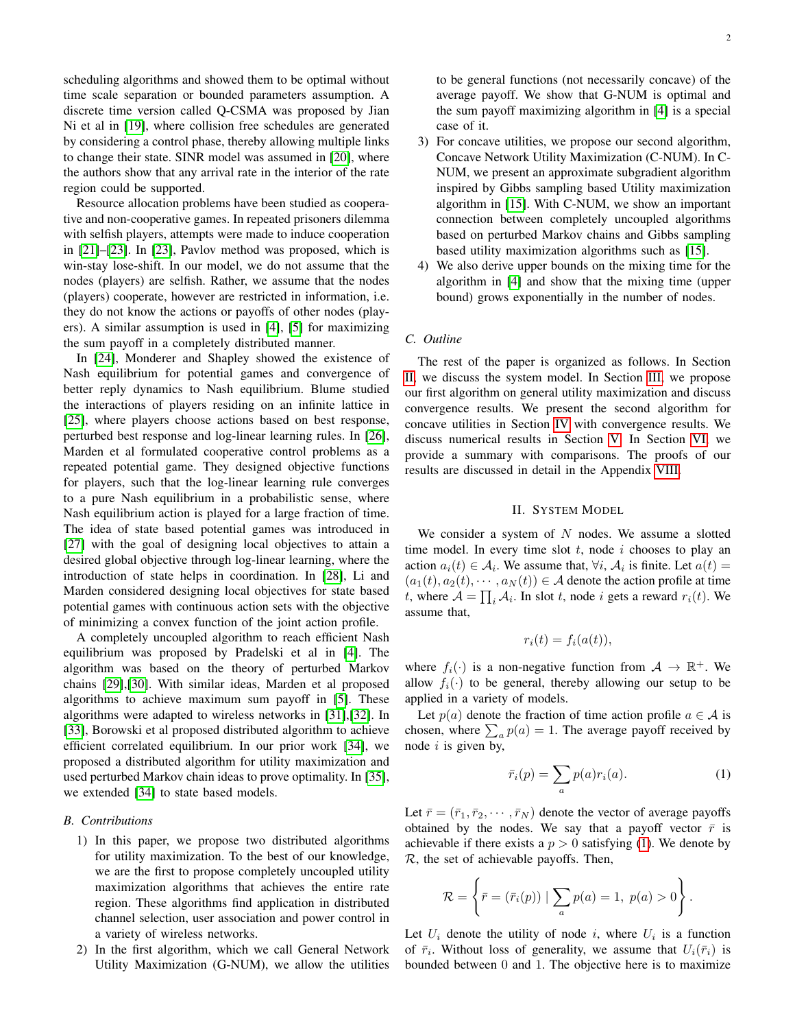scheduling algorithms and showed them to be optimal without time scale separation or bounded parameters assumption. A discrete time version called Q-CSMA was proposed by Jian Ni et al in [\[19\]](#page-13-18), where collision free schedules are generated by considering a control phase, thereby allowing multiple links to change their state. SINR model was assumed in [\[20\]](#page-13-19), where the authors show that any arrival rate in the interior of the rate region could be supported.

Resource allocation problems have been studied as cooperative and non-cooperative games. In repeated prisoners dilemma with selfish players, attempts were made to induce cooperation in [\[21\]](#page-13-20)–[\[23\]](#page-13-21). In [\[23\]](#page-13-21), Pavlov method was proposed, which is win-stay lose-shift. In our model, we do not assume that the nodes (players) are selfish. Rather, we assume that the nodes (players) cooperate, however are restricted in information, i.e. they do not know the actions or payoffs of other nodes (players). A similar assumption is used in [\[4\]](#page-13-3), [\[5\]](#page-13-4) for maximizing the sum payoff in a completely distributed manner.

In [\[24\]](#page-13-22), Monderer and Shapley showed the existence of Nash equilibrium for potential games and convergence of better reply dynamics to Nash equilibrium. Blume studied the interactions of players residing on an infinite lattice in [\[25\]](#page-13-23), where players choose actions based on best response, perturbed best response and log-linear learning rules. In [\[26\]](#page-13-24), Marden et al formulated cooperative control problems as a repeated potential game. They designed objective functions for players, such that the log-linear learning rule converges to a pure Nash equilibrium in a probabilistic sense, where Nash equilibrium action is played for a large fraction of time. The idea of state based potential games was introduced in [\[27\]](#page-13-25) with the goal of designing local objectives to attain a desired global objective through log-linear learning, where the introduction of state helps in coordination. In [\[28\]](#page-13-26), Li and Marden considered designing local objectives for state based potential games with continuous action sets with the objective of minimizing a convex function of the joint action profile.

A completely uncoupled algorithm to reach efficient Nash equilibrium was proposed by Pradelski et al in [\[4\]](#page-13-3). The algorithm was based on the theory of perturbed Markov chains [\[29\]](#page-13-27),[\[30\]](#page-13-28). With similar ideas, Marden et al proposed algorithms to achieve maximum sum payoff in [\[5\]](#page-13-4). These algorithms were adapted to wireless networks in [\[31\]](#page-13-29),[\[32\]](#page-13-30). In [\[33\]](#page-13-31), Borowski et al proposed distributed algorithm to achieve efficient correlated equilibrium. In our prior work [\[34\]](#page-13-32), we proposed a distributed algorithm for utility maximization and used perturbed Markov chain ideas to prove optimality. In [\[35\]](#page-13-33), we extended [\[34\]](#page-13-32) to state based models.

# *B. Contributions*

- 1) In this paper, we propose two distributed algorithms for utility maximization. To the best of our knowledge, we are the first to propose completely uncoupled utility maximization algorithms that achieves the entire rate region. These algorithms find application in distributed channel selection, user association and power control in a variety of wireless networks.
- 2) In the first algorithm, which we call General Network Utility Maximization (G-NUM), we allow the utilities

to be general functions (not necessarily concave) of the average payoff. We show that G-NUM is optimal and the sum payoff maximizing algorithm in [\[4\]](#page-13-3) is a special case of it.

- 3) For concave utilities, we propose our second algorithm, Concave Network Utility Maximization (C-NUM). In C-NUM, we present an approximate subgradient algorithm inspired by Gibbs sampling based Utility maximization algorithm in [\[15\]](#page-13-14). With C-NUM, we show an important connection between completely uncoupled algorithms based on perturbed Markov chains and Gibbs sampling based utility maximization algorithms such as [\[15\]](#page-13-14).
- 4) We also derive upper bounds on the mixing time for the algorithm in [\[4\]](#page-13-3) and show that the mixing time (upper bound) grows exponentially in the number of nodes.

# *C. Outline*

The rest of the paper is organized as follows. In Section [II,](#page-1-0) we discuss the system model. In Section [III,](#page-2-0) we propose our first algorithm on general utility maximization and discuss convergence results. We present the second algorithm for concave utilities in Section [IV](#page-4-0) with convergence results. We discuss numerical results in Section [V.](#page-6-0) In Section [VI,](#page-8-0) we provide a summary with comparisons. The proofs of our results are discussed in detail in the Appendix [VIII.](#page-9-0)

#### II. SYSTEM MODEL

<span id="page-1-0"></span>We consider a system of  $N$  nodes. We assume a slotted time model. In every time slot  $t$ , node  $i$  chooses to play an action  $a_i(t) \in \mathcal{A}_i$ . We assume that,  $\forall i$ ,  $\mathcal{A}_i$  is finite. Let  $a(t) =$  $(a_1(t), a_2(t), \cdots, a_N(t)) \in A$  denote the action profile at time t, where  $A = \prod_i A_i$ . In slot t, node i gets a reward  $r_i(t)$ . We assume that,

$$
r_i(t) = f_i(a(t)),
$$

where  $f_i(\cdot)$  is a non-negative function from  $\mathcal{A} \to \mathbb{R}^+$ . We allow  $f_i(\cdot)$  to be general, thereby allowing our setup to be applied in a variety of models.

Let  $p(a)$  denote the fraction of time action profile  $a \in \mathcal{A}$  is chosen, where  $\sum_a p(a) = 1$ . The average payoff received by node  $i$  is given by,

<span id="page-1-1"></span>
$$
\bar{r}_i(p) = \sum_a p(a)r_i(a). \tag{1}
$$

Let  $\bar{r} = (\bar{r}_1, \bar{r}_2, \cdots, \bar{r}_N)$  denote the vector of average payoffs obtained by the nodes. We say that a payoff vector  $\bar{r}$  is achievable if there exists a  $p > 0$  satisfying [\(1\)](#page-1-1). We denote by R, the set of achievable payoffs. Then,

$$
\mathcal{R} = \left\{ \bar{r} = (\bar{r}_i(p)) \mid \sum_a p(a) = 1, \ p(a) > 0 \right\}.
$$

Let  $U_i$  denote the utility of node i, where  $U_i$  is a function of  $\bar{r}_i$ . Without loss of generality, we assume that  $U_i(\bar{r}_i)$  is bounded between 0 and 1. The objective here is to maximize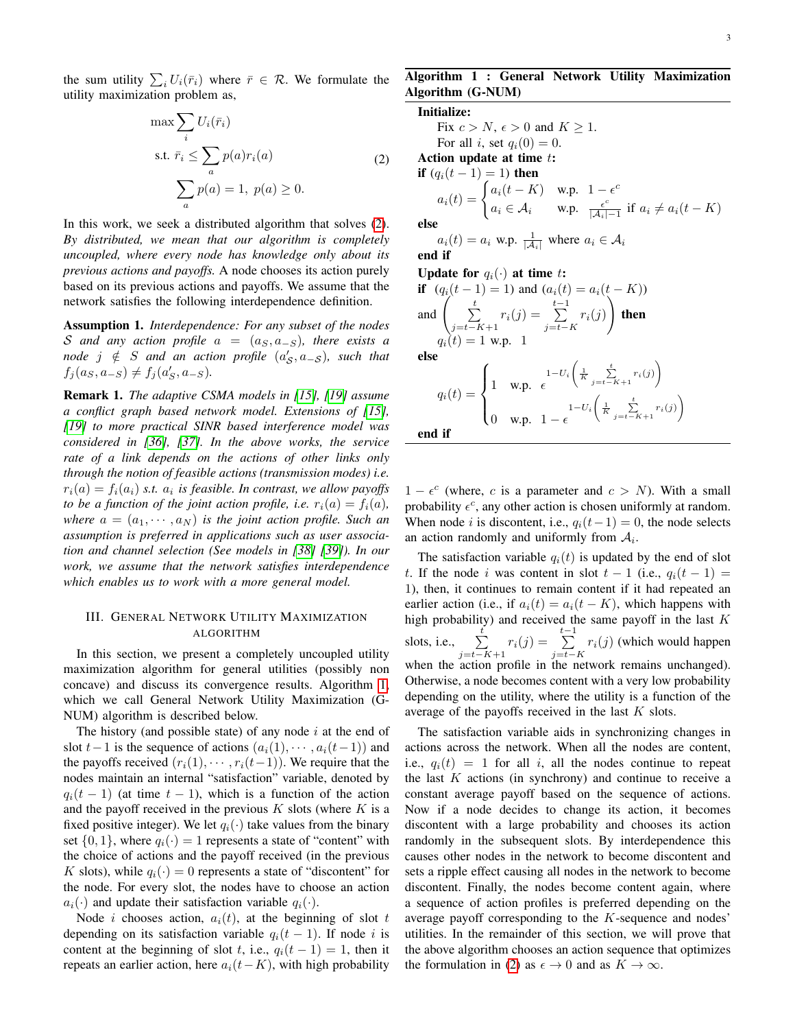the sum utility  $\sum_i U_i(\bar{r}_i)$  where  $\bar{r} \in \mathcal{R}$ . We formulate the utility maximization problem as,

$$
\max \sum_{i} U_i(\bar{r}_i)
$$
\n
$$
\text{s.t. } \bar{r}_i \leq \sum_{a} p(a)r_i(a)
$$
\n
$$
\sum_{a} p(a) = 1, \ p(a) \geq 0.
$$
\n
$$
(2)
$$

In this work, we seek a distributed algorithm that solves [\(2\)](#page-2-1). *By distributed, we mean that our algorithm is completely uncoupled, where every node has knowledge only about its previous actions and payoffs.* A node chooses its action purely based on its previous actions and payoffs. We assume that the network satisfies the following interdependence definition.

<span id="page-2-3"></span>Assumption 1. *Interdependence: For any subset of the nodes* S and any action profile  $a = (a_S, a_{-S})$ , there exists a  $\emph{node}$   $j \notin S$  and an action profile  $(a'_\mathcal{S}, a_{-\mathcal{S}})$ , such that  $f_j(a_S, a_{-S}) \neq f_j(a'_S, a_{-S}).$ 

Remark 1. *The adaptive CSMA models in [\[15\]](#page-13-14), [\[19\]](#page-13-18) assume a conflict graph based network model. Extensions of [\[15\]](#page-13-14), [\[19\]](#page-13-18) to more practical SINR based interference model was considered in [\[36\]](#page-13-34), [\[37\]](#page-13-35). In the above works, the service rate of a link depends on the actions of other links only through the notion of feasible actions (transmission modes) i.e.*  $r_i(a) = f_i(a_i)$  s.t.  $a_i$  is feasible. In contrast, we allow payoffs *to be a function of the joint action profile, i.e.*  $r_i(a) = f_i(a)$ , *where*  $a = (a_1, \dots, a_N)$  *is the joint action profile. Such an assumption is preferred in applications such as user association and channel selection (See models in [\[38\]](#page-13-36) [\[39\]](#page-13-37)). In our work, we assume that the network satisfies interdependence which enables us to work with a more general model.*

# <span id="page-2-0"></span>III. GENERAL NETWORK UTILITY MAXIMIZATION ALGORITHM

In this section, we present a completely uncoupled utility maximization algorithm for general utilities (possibly non concave) and discuss its convergence results. Algorithm [1,](#page-2-2) which we call General Network Utility Maximization (G-NUM) algorithm is described below.

The history (and possible state) of any node  $i$  at the end of slot  $t-1$  is the sequence of actions  $(a_i(1), \dots, a_i(t-1))$  and the payoffs received  $(r_i(1), \cdots, r_i(t-1))$ . We require that the nodes maintain an internal "satisfaction" variable, denoted by  $q_i(t-1)$  (at time  $t-1$ ), which is a function of the action and the payoff received in the previous  $K$  slots (where  $K$  is a fixed positive integer). We let  $q_i(\cdot)$  take values from the binary set  $\{0, 1\}$ , where  $q_i(\cdot) = 1$  represents a state of "content" with the choice of actions and the payoff received (in the previous K slots), while  $q_i(\cdot) = 0$  represents a state of "discontent" for the node. For every slot, the nodes have to choose an action  $a_i(\cdot)$  and update their satisfaction variable  $q_i(\cdot)$ .

Node *i* chooses action,  $a_i(t)$ , at the beginning of slot t depending on its satisfaction variable  $q_i(t-1)$ . If node i is content at the beginning of slot t, i.e.,  $q_i(t-1) = 1$ , then it repeats an earlier action, here  $a_i(t-K)$ , with high probability

# <span id="page-2-2"></span>Algorithm 1 : General Network Utility Maximization Algorithm (G-NUM)

#### Initialize:

<span id="page-2-1"></span>Fix  $c > N$ ,  $\epsilon > 0$  and  $K \geq 1$ . For all i, set  $q_i(0) = 0$ . Action update at time  $t$ : **if**  $(q_i(t-1) = 1)$  then  $a_i(t) = \begin{cases} a_i(t-K) & \text{w.p.} \quad 1 - \epsilon^c \end{cases}$  $a_i \in \mathcal{A}_i$  w.p.  $\frac{\epsilon^c}{|\mathcal{A}_i|}$  $\frac{\epsilon^c}{|A_i|-1}$  if  $a_i \neq a_i(t-K)$ else  $a_i(t) = a_i$  w.p.  $\frac{1}{|\mathcal{A}_i|}$  where  $a_i \in \mathcal{A}_i$ end if

Update for  $q_i(\cdot)$  at time t:

$$
\begin{aligned}\n\text{if} \quad (q_i(t-1) = 1) \text{ and } (a_i(t) = a_i(t - K)) \\
\text{and} \quad & \left( \sum_{j=t-K+1}^t r_i(j) = \sum_{j=t-K}^{t-1} r_i(j) \right) \text{ then} \\
& q_i(t) = 1 \text{ w.p. } 1 \\
& \text{else} \\
& q_i(t) = \begin{cases}\n1 & \text{w.p. } \epsilon \\
1 & \text{w.p. } \epsilon\n\end{cases} \\
& \text{if} \quad \begin{cases}\n1 - U_i \left( \frac{1}{K} \sum_{j=t-K+1}^t r_i(j) \right) \\
0 & \text{w.p. } 1 - \epsilon\n\end{cases} \\
& \text{end if} \quad \begin{aligned}\n\text{if} \quad & \text{if } \quad t < t, \\
0 & \text{if } \quad t < t.\n\end{aligned}
$$

 $1 - \epsilon^c$  (where, c is a parameter and  $c > N$ ). With a small probability  $\epsilon^c$ , any other action is chosen uniformly at random. When node *i* is discontent, i.e.,  $q_i(t-1) = 0$ , the node selects an action randomly and uniformly from  $A_i$ .

The satisfaction variable  $q_i(t)$  is updated by the end of slot t. If the node i was content in slot  $t - 1$  (i.e.,  $q_i(t - 1) =$ 1), then, it continues to remain content if it had repeated an earlier action (i.e., if  $a_i(t) = a_i(t - K)$ , which happens with high probability) and received the same payoff in the last  $K$ slots, i.e.,  $\sum_{i=1}^{t}$  $\sum_{j=t-K+1}^{t} r_i(j) = \sum_{j=t-1}^{t-1}$  $\sum_{j=t-K} r_i(j)$  (which would happen when the action profile in the network remains unchanged). Otherwise, a node becomes content with a very low probability depending on the utility, where the utility is a function of the average of the payoffs received in the last  $K$  slots.

The satisfaction variable aids in synchronizing changes in actions across the network. When all the nodes are content, i.e.,  $q_i(t) = 1$  for all i, all the nodes continue to repeat the last  $K$  actions (in synchrony) and continue to receive a constant average payoff based on the sequence of actions. Now if a node decides to change its action, it becomes discontent with a large probability and chooses its action randomly in the subsequent slots. By interdependence this causes other nodes in the network to become discontent and sets a ripple effect causing all nodes in the network to become discontent. Finally, the nodes become content again, where a sequence of action profiles is preferred depending on the average payoff corresponding to the K-sequence and nodes' utilities. In the remainder of this section, we will prove that the above algorithm chooses an action sequence that optimizes the formulation in [\(2\)](#page-2-1) as  $\epsilon \to 0$  and as  $K \to \infty$ .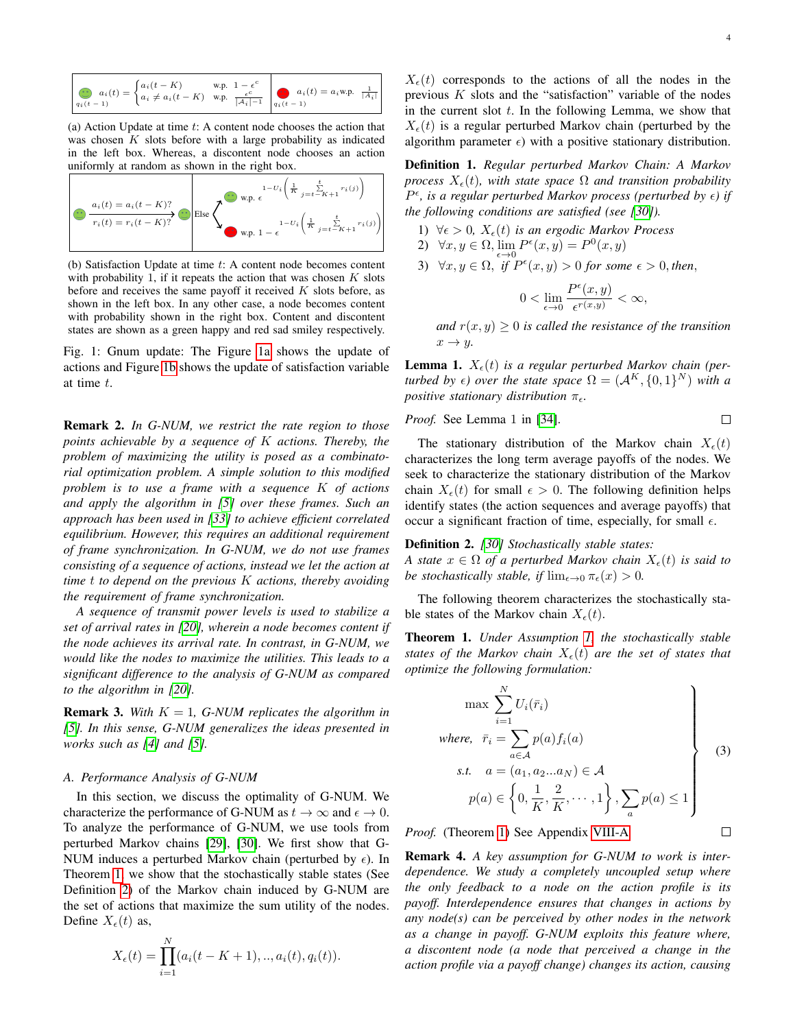<span id="page-3-0"></span>
$$
a_i(t) = \begin{cases} a_i(t-K) & \text{w.p. } 1 - \epsilon^c \\ a_i \neq a_i(t-K) & \text{w.p. } \frac{\epsilon^c}{|A_i| - 1} \end{cases} \quad a_i(t) = a_i \text{w.p. } \frac{1}{|A_i|}
$$

(a) Action Update at time  $t$ : A content node chooses the action that was chosen  $K$  slots before with a large probability as indicated in the left box. Whereas, a discontent node chooses an action uniformly at random as shown in the right box.



(b) Satisfaction Update at time  $t$ : A content node becomes content with probability 1, if it repeats the action that was chosen  $K$  slots before and receives the same payoff it received  $K$  slots before, as shown in the left box. In any other case, a node becomes content with probability shown in the right box. Content and discontent states are shown as a green happy and red sad smiley respectively.

Fig. 1: Gnum update: The Figure [1a](#page-3-0) shows the update of actions and Figure [1b](#page-3-0) shows the update of satisfaction variable at time t.

Remark 2. *In G-NUM, we restrict the rate region to those points achievable by a sequence of* K *actions. Thereby, the problem of maximizing the utility is posed as a combinatorial optimization problem. A simple solution to this modified problem is to use a frame with a sequence* K *of actions and apply the algorithm in [\[5\]](#page-13-4) over these frames. Such an approach has been used in [\[33\]](#page-13-31) to achieve efficient correlated equilibrium. However, this requires an additional requirement of frame synchronization. In G-NUM, we do not use frames consisting of a sequence of actions, instead we let the action at time* t *to depend on the previous* K *actions, thereby avoiding the requirement of frame synchronization.*

*A sequence of transmit power levels is used to stabilize a set of arrival rates in [\[20\]](#page-13-19), wherein a node becomes content if the node achieves its arrival rate. In contrast, in G-NUM, we would like the nodes to maximize the utilities. This leads to a significant difference to the analysis of G-NUM as compared to the algorithm in [\[20\]](#page-13-19).*

**Remark 3.** With  $K = 1$ , G-NUM replicates the algorithm in *[\[5\]](#page-13-4). In this sense, G-NUM generalizes the ideas presented in works such as [\[4\]](#page-13-3) and [\[5\]](#page-13-4).*

# *A. Performance Analysis of G-NUM*

In this section, we discuss the optimality of G-NUM. We characterize the performance of G-NUM as  $t \to \infty$  and  $\epsilon \to 0$ . To analyze the performance of G-NUM, we use tools from perturbed Markov chains [\[29\]](#page-13-27), [\[30\]](#page-13-28). We first show that G-NUM induces a perturbed Markov chain (perturbed by  $\epsilon$ ). In Theorem [1,](#page-3-1) we show that the stochastically stable states (See Definition [2\)](#page-3-2) of the Markov chain induced by G-NUM are the set of actions that maximize the sum utility of the nodes. Define  $X_{\epsilon}(t)$  as,

$$
X_{\epsilon}(t) = \prod_{i=1}^{N} (a_i(t - K + 1), \dots, a_i(t), q_i(t)).
$$

 $X_{\epsilon}(t)$  corresponds to the actions of all the nodes in the previous  $K$  slots and the "satisfaction" variable of the nodes in the current slot  $t$ . In the following Lemma, we show that  $X_{\epsilon}(t)$  is a regular perturbed Markov chain (perturbed by the algorithm parameter  $\epsilon$ ) with a positive stationary distribution.

<span id="page-3-3"></span>Definition 1. *Regular perturbed Markov Chain: A Markov process*  $X_{\epsilon}(t)$ *, with state space*  $\Omega$  *and transition probability*  $P^{\epsilon}$ , is a regular perturbed Markov process (perturbed by  $\epsilon$ ) if *the following conditions are satisfied (see [\[30\]](#page-13-28)).*

- 1)  $\forall \epsilon > 0$ ,  $X_{\epsilon}(t)$  *is an ergodic Markov Process*
- 2)  $\forall x, y \in \Omega, \lim_{\epsilon \to 0} P^{\epsilon}(x, y) = P^{0}(x, y)$
- 3)  $\forall x, y \in \Omega$ , *if*  $P^{\epsilon}(x, y) > 0$  *for some*  $\epsilon > 0$ *, then,*

$$
0 < \lim_{\epsilon \to 0} \frac{P^{\epsilon}(x, y)}{\epsilon^{r(x, y)}} < \infty,
$$

*and*  $r(x, y) \geq 0$  *is called the resistance of the transition*  $x \rightarrow y$ .

**Lemma 1.**  $X_{\epsilon}(t)$  *is a regular perturbed Markov chain (perturbed by*  $\epsilon$ ) *over the state space*  $\Omega = (A^K, \{0, 1\}^N)$  *with a positive stationary distribution* π*.*

*Proof.* See Lemma 1 in [34]. 
$$
\square
$$

The stationary distribution of the Markov chain  $X_{\epsilon}(t)$ characterizes the long term average payoffs of the nodes. We seek to characterize the stationary distribution of the Markov chain  $X_{\epsilon}(t)$  for small  $\epsilon > 0$ . The following definition helps identify states (the action sequences and average payoffs) that occur a significant fraction of time, especially, for small  $\epsilon$ .

#### <span id="page-3-2"></span>Definition 2. *[\[30\]](#page-13-28) Stochastically stable states:*

*A state*  $x \in \Omega$  *of a perturbed Markov chain*  $X_{\epsilon}(t)$  *is said to be stochastically stable, if*  $\lim_{\epsilon \to 0} \pi_{\epsilon}(x) > 0$ .

The following theorem characterizes the stochastically stable states of the Markov chain  $X_{\epsilon}(t)$ .

<span id="page-3-1"></span>Theorem 1. *Under Assumption [1,](#page-2-3) the stochastically stable states of the Markov chain*  $X_{\epsilon}(t)$  *are the set of states that optimize the following formulation:*

$$
\begin{aligned}\n\max \sum_{i=1}^{N} U_i(\bar{r}_i) \\
where, \ \ \bar{r}_i &= \sum_{a \in \mathcal{A}} p(a) f_i(a) \\
\text{s.t.} \quad a &= (a_1, a_2 \dots a_N) \in \mathcal{A} \\
p(a) & \in \left\{0, \frac{1}{K}, \frac{2}{K}, \dots, 1\right\}, \sum_a p(a) \le 1\n\end{aligned} \tag{3}
$$

 $\Box$ 

*Proof.* (Theorem [1\)](#page-3-1) See Appendix [VIII-A](#page-9-1)

Remark 4. *A key assumption for G-NUM to work is interdependence. We study a completely uncoupled setup where the only feedback to a node on the action profile is its payoff. Interdependence ensures that changes in actions by any node(s) can be perceived by other nodes in the network as a change in payoff. G-NUM exploits this feature where, a discontent node (a node that perceived a change in the action profile via a payoff change) changes its action, causing*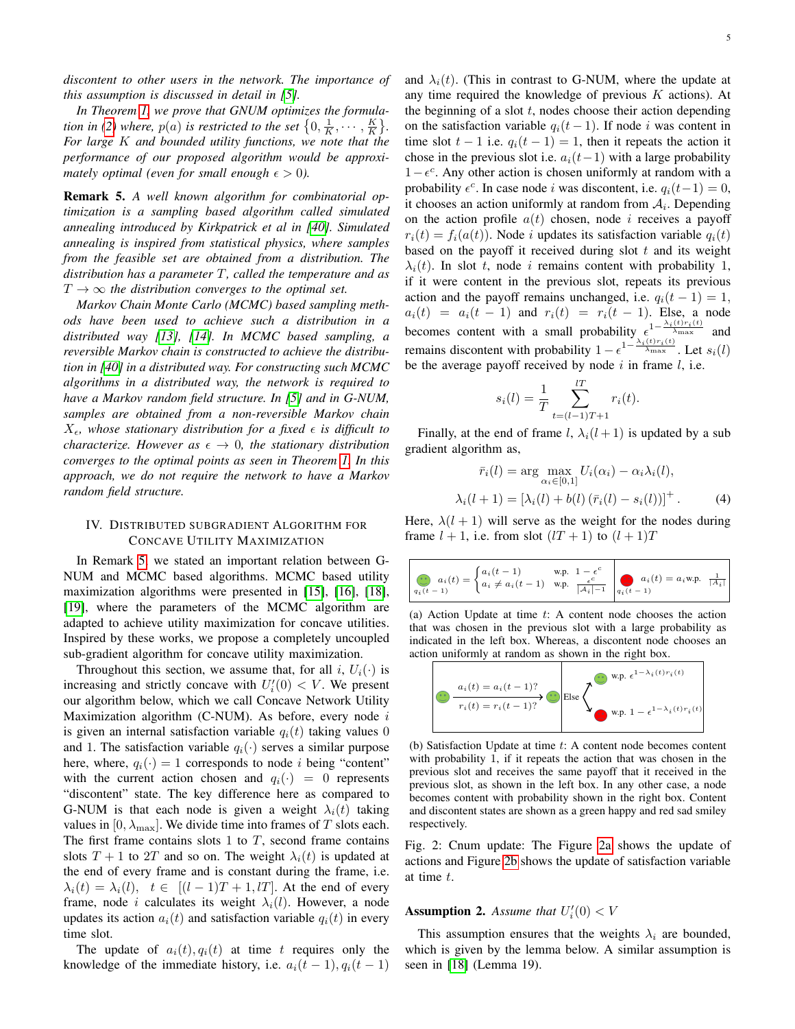*discontent to other users in the network. The importance of this assumption is discussed in detail in [\[5\]](#page-13-4).*

*In Theorem [1,](#page-3-1) we prove that GNUM optimizes the formula-tion in [\(2\)](#page-2-1) where,*  $p(a)$  *is restricted to the set*  $\left\{0, \frac{1}{K}, \cdots, \frac{K}{K}\right\}$ . *For large* K *and bounded utility functions, we note that the performance of our proposed algorithm would be approximately optimal (even for small enough*  $\epsilon > 0$ ).

<span id="page-4-1"></span>Remark 5. *A well known algorithm for combinatorial optimization is a sampling based algorithm called simulated annealing introduced by Kirkpatrick et al in [\[40\]](#page-13-38). Simulated annealing is inspired from statistical physics, where samples from the feasible set are obtained from a distribution. The distribution has a parameter* T*, called the temperature and as*  $T \rightarrow \infty$  *the distribution converges to the optimal set.* 

*Markov Chain Monte Carlo (MCMC) based sampling methods have been used to achieve such a distribution in a distributed way [\[13\]](#page-13-12), [\[14\]](#page-13-13). In MCMC based sampling, a reversible Markov chain is constructed to achieve the distribution in [\[40\]](#page-13-38) in a distributed way. For constructing such MCMC algorithms in a distributed way, the network is required to have a Markov random field structure. In [\[5\]](#page-13-4) and in G-NUM, samples are obtained from a non-reversible Markov chain*  $X_{\epsilon}$ , whose stationary distribution for a fixed  $\epsilon$  is difficult to *characterize. However as*  $\epsilon \to 0$ *, the stationary distribution converges to the optimal points as seen in Theorem [1.](#page-3-1) In this approach, we do not require the network to have a Markov random field structure.*

# <span id="page-4-0"></span>IV. DISTRIBUTED SUBGRADIENT ALGORITHM FOR CONCAVE UTILITY MAXIMIZATION

In Remark [5,](#page-4-1) we stated an important relation between G-NUM and MCMC based algorithms. MCMC based utility maximization algorithms were presented in [\[15\]](#page-13-14), [\[16\]](#page-13-15), [\[18\]](#page-13-17), [\[19\]](#page-13-18), where the parameters of the MCMC algorithm are adapted to achieve utility maximization for concave utilities. Inspired by these works, we propose a completely uncoupled sub-gradient algorithm for concave utility maximization.

Throughout this section, we assume that, for all i,  $U_i(\cdot)$  is increasing and strictly concave with  $U_i'(0) < V$ . We present our algorithm below, which we call Concave Network Utility Maximization algorithm  $(C-NUM)$ . As before, every node i is given an internal satisfaction variable  $q_i(t)$  taking values 0 and 1. The satisfaction variable  $q_i(\cdot)$  serves a similar purpose here, where,  $q_i(\cdot) = 1$  corresponds to node *i* being "content" with the current action chosen and  $q_i(\cdot) = 0$  represents "discontent" state. The key difference here as compared to G-NUM is that each node is given a weight  $\lambda_i(t)$  taking values in  $[0, \lambda_{\text{max}}]$ . We divide time into frames of T slots each. The first frame contains slots 1 to  $T$ , second frame contains slots  $T + 1$  to  $2T$  and so on. The weight  $\lambda_i(t)$  is updated at the end of every frame and is constant during the frame, i.e.  $\lambda_i(t) = \lambda_i(l), \quad t \in [(l-1)T + 1, lT].$  At the end of every frame, node *i* calculates its weight  $\lambda_i(l)$ . However, a node updates its action  $a_i(t)$  and satisfaction variable  $q_i(t)$  in every time slot.

The update of  $a_i(t), q_i(t)$  at time t requires only the knowledge of the immediate history, i.e.  $a_i(t-1), q_i(t-1)$  and  $\lambda_i(t)$ . (This in contrast to G-NUM, where the update at any time required the knowledge of previous  $K$  actions). At the beginning of a slot  $t$ , nodes choose their action depending on the satisfaction variable  $q_i(t-1)$ . If node i was content in time slot  $t - 1$  i.e.  $q_i(t - 1) = 1$ , then it repeats the action it chose in the previous slot i.e.  $a_i(t-1)$  with a large probability  $1 - e^c$ . Any other action is chosen uniformly at random with a probability  $\epsilon^c$ . In case node *i* was discontent, i.e.  $q_i(t-1) = 0$ , it chooses an action uniformly at random from  $A_i$ . Depending on the action profile  $a(t)$  chosen, node i receives a payoff  $r_i(t) = f_i(a(t))$ . Node i updates its satisfaction variable  $q_i(t)$ based on the payoff it received during slot  $t$  and its weight  $\lambda_i(t)$ . In slot t, node i remains content with probability 1, if it were content in the previous slot, repeats its previous action and the payoff remains unchanged, i.e.  $q_i(t-1) = 1$ ,  $a_i(t) = a_i(t-1)$  and  $r_i(t) = r_i(t-1)$ . Else, a node becomes content with a small probability  $\epsilon^{1-\frac{\lambda_i(t)r_i(t)}{\lambda_{\max}}}$  and remains discontent with probability  $1 - \epsilon^{1 - \frac{\lambda_i(t) r_i(t)}{\lambda_{\max}}}$ . Let  $s_i(t)$ be the average payoff received by node  $i$  in frame  $l$ , i.e.

<span id="page-4-4"></span>
$$
s_i(l) = \frac{1}{T} \sum_{t=(l-1)T+1}^{lT} r_i(t).
$$

Finally, at the end of frame l,  $\lambda_i(l+1)$  is updated by a sub gradient algorithm as,

$$
\bar{r}_i(l) = \arg \max_{\alpha_i \in [0,1]} U_i(\alpha_i) - \alpha_i \lambda_i(l),
$$

$$
\lambda_i(l+1) = \left[\lambda_i(l) + b(l) \left(\bar{r}_i(l) - s_i(l)\right)\right]^+.
$$
 (4)

Here,  $\lambda(l + 1)$  will serve as the weight for the nodes during frame  $l + 1$ , i.e. from slot  $(1T + 1)$  to  $(l + 1)T$ 

<span id="page-4-2"></span>
$$
\bigodot_{q_i(t-1)}a_i(t)=\begin{cases}a_i(t-1)&\text{w.p. }1-\epsilon^c\\a_i\neq a_i(t-1)&\text{w.p. } \frac{\epsilon^c}{|A_i|^{-1}}\end{cases}\bigodot_{q_i(t-1)}a_i(t)=a_i\text{w.p. }\frac{1}{|A_i|}
$$

(a) Action Update at time  $t$ : A content node chooses the action that was chosen in the previous slot with a large probability as indicated in the left box. Whereas, a discontent node chooses an action uniformly at random as shown in the right box.



(b) Satisfaction Update at time t: A content node becomes content with probability 1, if it repeats the action that was chosen in the previous slot and receives the same payoff that it received in the previous slot, as shown in the left box. In any other case, a node becomes content with probability shown in the right box. Content and discontent states are shown as a green happy and red sad smiley respectively.

Fig. 2: Cnum update: The Figure [2a](#page-4-2) shows the update of actions and Figure [2b](#page-4-2) shows the update of satisfaction variable at time t.

# <span id="page-4-3"></span>**Assumption 2.** Assume that  $U_i'(0) < V$

This assumption ensures that the weights  $\lambda_i$  are bounded, which is given by the lemma below. A similar assumption is seen in [\[18\]](#page-13-17) (Lemma 19).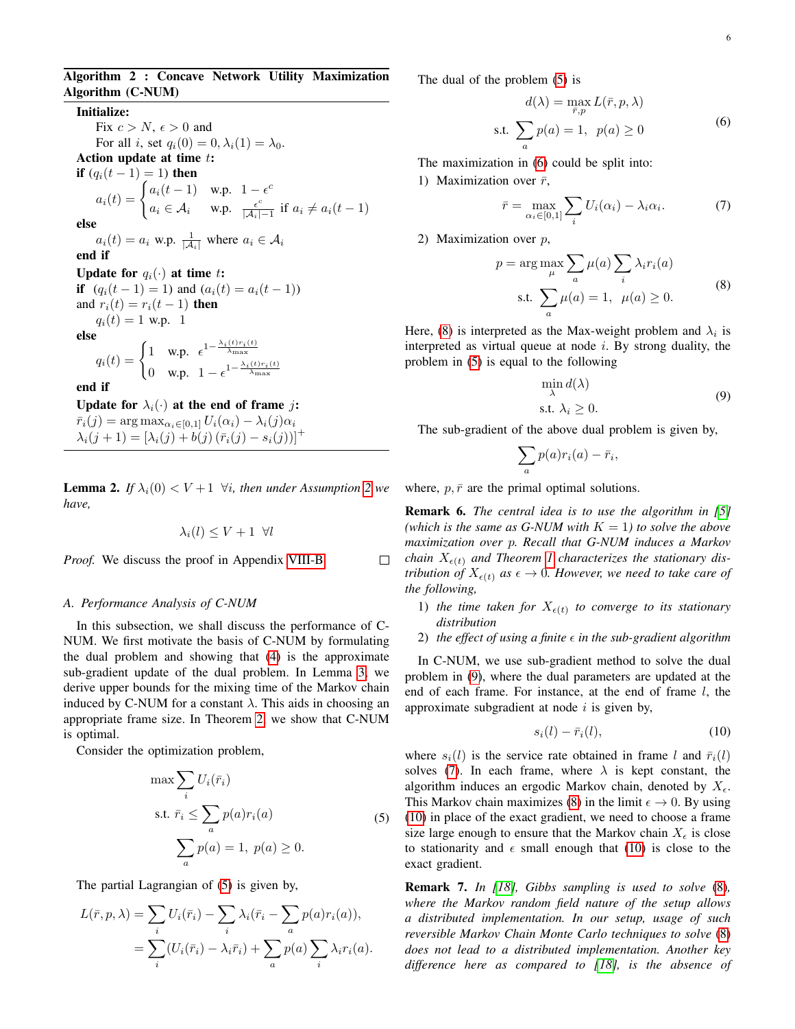# Algorithm 2 : Concave Network Utility Maximization Algorithm (C-NUM)

Initialize: Fix  $c > N$ ,  $\epsilon > 0$  and For all i, set  $q_i(0) = 0, \lambda_i(1) = \lambda_0$ . Action update at time t: **if**  $(q_i(t-1) = 1)$  then  $a_i(t) = \begin{cases} a_i(t-1) & \text{w.p.} \quad 1 - \epsilon^c \end{cases}$  $a_i \in \mathcal{A}_i$  w.p.  $\frac{\epsilon^c}{|\mathcal{A}_i|}$  $\frac{\epsilon^c}{|\mathcal{A}_i|-1}$  if  $a_i \neq a_i(t-1)$ else  $a_i(t) = a_i$  w.p.  $\frac{1}{|\mathcal{A}_i|}$  where  $a_i \in \mathcal{A}_i$ end if Update for  $q_i(\cdot)$  at time t: if  $(q_i(t-1) = 1)$  and  $(a_i(t) = a_i(t-1))$ and  $r_i(t) = r_i(t-1)$  then  $q_i(t) = 1$  w.p. 1 else  $q_i(t) = \begin{cases} 1 & \text{w.p.} \ \epsilon^{1-\frac{\lambda_i(t)r_i(t)}{\lambda_{\text{max}}}} \end{cases}$ 0 w.p.  $1 - \epsilon^{1 - \frac{\lambda_i(t)r_i(t)}{\lambda_{\text{max}}}}$ end if Update for  $\lambda_i(\cdot)$  at the end of frame j:  $\bar{r}_i(j) = \arg \max_{\alpha_i \in [0,1]} U_i(\alpha_i) - \lambda_i(j)\alpha_i$  $\lambda_i(j + 1) = [\lambda_i(j) + b(j) (\bar{r}_i(j) - s_i(j))]^+$ 

<span id="page-5-6"></span>**Lemma [2](#page-4-3).** *If*  $\lambda_i(0) < V+1$   $\forall i$ , then under Assumption 2 we *have,*

$$
\lambda_i(l) \le V + 1 \ \forall l
$$

*Proof.* We discuss the proof in Appendix [VIII-B.](#page-10-0)

#### *A. Performance Analysis of C-NUM*

In this subsection, we shall discuss the performance of C-NUM. We first motivate the basis of C-NUM by formulating the dual problem and showing that [\(4\)](#page-4-4) is the approximate sub-gradient update of the dual problem. In Lemma [3,](#page-0-0) we derive upper bounds for the mixing time of the Markov chain induced by C-NUM for a constant  $\lambda$ . This aids in choosing an appropriate frame size. In Theorem [2,](#page-6-1) we show that C-NUM is optimal.

Consider the optimization problem,

$$
\max \sum_{i} U_i(\bar{r}_i)
$$
  
s.t.  $\bar{r}_i \le \sum_{a} p(a)r_i(a)$  (5)  

$$
\sum_{a} p(a) = 1, p(a) \ge 0.
$$

The partial Lagrangian of [\(5\)](#page-5-0) is given by,

$$
L(\bar{r}, p, \lambda) = \sum_{i} U_i(\bar{r}_i) - \sum_{i} \lambda_i(\bar{r}_i - \sum_{a} p(a)r_i(a)),
$$
  
= 
$$
\sum_{i} (U_i(\bar{r}_i) - \lambda_i\bar{r}_i) + \sum_{a} p(a) \sum_{i} \lambda_i r_i(a).
$$

The dual of the problem [\(5\)](#page-5-0) is

<span id="page-5-1"></span>
$$
d(\lambda) = \max_{\bar{r}, p} L(\bar{r}, p, \lambda)
$$
  
s.t. 
$$
\sum_{a} p(a) = 1, \ p(a) \ge 0
$$
 (6)

The maximization in [\(6\)](#page-5-1) could be split into:

1) Maximization over  $\bar{r}$ ,

<span id="page-5-4"></span>
$$
\bar{r} = \max_{\alpha_i \in [0,1]} \sum_i U_i(\alpha_i) - \lambda_i \alpha_i.
$$
 (7)

2) Maximization over p,

$$
p = \arg \max_{\mu} \sum_{a} \mu(a) \sum_{i} \lambda_i r_i(a)
$$
  
s.t. 
$$
\sum_{a} \mu(a) = 1, \ \mu(a) \ge 0.
$$
 (8)

Here, [\(8\)](#page-5-2) is interpreted as the Max-weight problem and  $\lambda_i$  is interpreted as virtual queue at node  $i$ . By strong duality, the problem in [\(5\)](#page-5-0) is equal to the following

<span id="page-5-3"></span><span id="page-5-2"></span>
$$
\min_{\lambda} d(\lambda)
$$
  
s.t.  $\lambda_i \ge 0$ . (9)

The sub-gradient of the above dual problem is given by,

$$
\sum_{a} p(a)r_i(a) - \bar{r}_i,
$$

where,  $p, \bar{r}$  are the primal optimal solutions.

 $\Box$ 

Remark 6. *The central idea is to use the algorithm in [\[5\]](#page-13-4) (which is the same as G-NUM with*  $K = 1$ *) to solve the above maximization over* p*. Recall that G-NUM induces a Markov chain*  $X_{\epsilon(t)}$  *and Theorem [1](#page-3-1) characterizes the stationary distribution of*  $X_{\epsilon(t)}$  *as*  $\epsilon \to 0$ *. However, we need to take care of the following,*

- 1) the time taken for  $X_{\epsilon(t)}$  to converge to its stationary *distribution*
- 2) the effect of using a finite  $\epsilon$  in the sub-gradient algorithm

In C-NUM, we use sub-gradient method to solve the dual problem in [\(9\)](#page-5-3), where the dual parameters are updated at the end of each frame. For instance, at the end of frame l, the approximate subgradient at node  $i$  is given by,

<span id="page-5-5"></span>
$$
s_i(l) - \bar{r}_i(l),\tag{10}
$$

<span id="page-5-0"></span>where  $s_i(l)$  is the service rate obtained in frame l and  $\bar{r}_i(l)$ solves [\(7\)](#page-5-4). In each frame, where  $\lambda$  is kept constant, the algorithm induces an ergodic Markov chain, denoted by  $X_{\epsilon}$ . This Markov chain maximizes [\(8\)](#page-5-2) in the limit  $\epsilon \to 0$ . By using [\(10\)](#page-5-5) in place of the exact gradient, we need to choose a frame size large enough to ensure that the Markov chain  $X_{\epsilon}$  is close to stationarity and  $\epsilon$  small enough that [\(10\)](#page-5-5) is close to the exact gradient.

Remark 7. *In [\[18\]](#page-13-17), Gibbs sampling is used to solve* [\(8\)](#page-5-2)*, where the Markov random field nature of the setup allows a distributed implementation. In our setup, usage of such reversible Markov Chain Monte Carlo techniques to solve* [\(8\)](#page-5-2) *does not lead to a distributed implementation. Another key difference here as compared to [\[18\]](#page-13-17), is the absence of*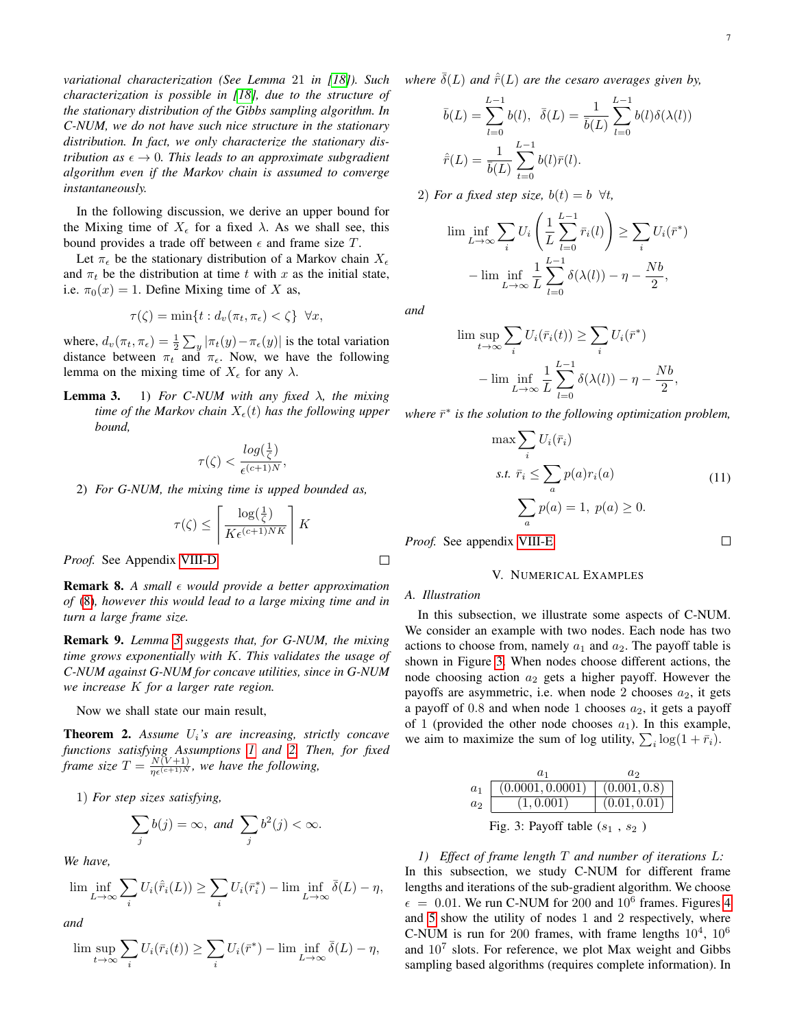In the following discussion, we derive an upper bound for the Mixing time of  $X_{\epsilon}$  for a fixed  $\lambda$ . As we shall see, this bound provides a trade off between  $\epsilon$  and frame size T.

Let  $\pi_{\epsilon}$  be the stationary distribution of a Markov chain  $X_{\epsilon}$ and  $\pi_t$  be the distribution at time t with x as the initial state, i.e.  $\pi_0(x) = 1$ . Define Mixing time of X as,

$$
\tau(\zeta) = \min\{t : d_v(\pi_t, \pi_\epsilon) < \zeta\} \quad \forall x,
$$

where,  $d_v(\pi_t, \pi_{\epsilon}) = \frac{1}{2} \sum_y |\pi_t(y) - \pi_{\epsilon}(y)|$  is the total variation distance between  $\pi_t$  and  $\pi_{\epsilon}$ . Now, we have the following lemma on the mixing time of  $X_{\epsilon}$  for any  $\lambda$ .

**Lemma 3.** 1) *For C-NUM with any fixed*  $\lambda$ *, the mixing time of the Markov chain*  $X_{\epsilon}(t)$  *has the following upper bound,*

$$
\tau(\zeta) < \frac{\log(\frac{1}{\zeta})}{\epsilon^{(c+1)N}},
$$

2) *For G-NUM, the mixing time is upped bounded as,*

$$
\tau(\zeta) \le \left\lceil \frac{\log(\frac{1}{\zeta})}{K \epsilon^{(c+1)NK}} \right\rceil K
$$

*Proof.* See Appendix [VIII-D](#page-11-0)

Remark 8. *A small would provide a better approximation of* [\(8\)](#page-5-2)*, however this would lead to a large mixing time and in turn a large frame size.*

Remark 9. *Lemma [3](#page-0-0) suggests that, for G-NUM, the mixing time grows exponentially with* K*. This validates the usage of C-NUM against G-NUM for concave utilities, since in G-NUM we increase* K *for a larger rate region.*

Now we shall state our main result,

<span id="page-6-1"></span>Theorem 2. *Assume* Ui*'s are increasing, strictly concave functions satisfying Assumptions [1](#page-2-3) and [2.](#page-4-3) Then, for fixed frame size*  $T = \frac{N(V+1)}{\eta \epsilon^{(c+1)N}}$ , we have the following,

1) *For step sizes satisfying,*

$$
\sum_j b(j) = \infty, \text{ and } \sum_j b^2(j) < \infty.
$$

*We have,*

$$
\liminf_{L \to \infty} \sum_{i} U_i(\hat{r}_i(L)) \ge \sum_{i} U_i(\bar{r}_i^*) - \liminf_{L \to \infty} \bar{\delta}(L) - \eta,
$$

*and*

$$
\limsup_{t \to \infty} \sum_{i} U_i(\bar{r}_i(t)) \ge \sum_{i} U_i(\bar{r}^*) - \liminf_{L \to \infty} \bar{\delta}(L) - \eta,
$$

*where*  $\bar{\delta}(L)$  *and*  $\hat{\bar{r}}(L)$  *are the cesaro averages given by,* 

$$
\bar{b}(L) = \sum_{l=0}^{L-1} b(l), \quad \bar{\delta}(L) = \frac{1}{\bar{b}(L)} \sum_{l=0}^{L-1} b(l)\delta(\lambda(l))
$$

$$
\hat{\bar{r}}(L) = \frac{1}{\bar{b}(L)} \sum_{t=0}^{L-1} b(l)\bar{r}(l).
$$

2) *For a fixed step size,*  $b(t) = b$   $\forall t$ ,

$$
\liminf_{L \to \infty} \sum_{i} U_i \left( \frac{1}{L} \sum_{l=0}^{L-1} \bar{r}_i(l) \right) \ge \sum_{i} U_i(\bar{r}^*)
$$

$$
- \liminf_{L \to \infty} \frac{1}{L} \sum_{l=0}^{L-1} \delta(\lambda(l)) - \eta - \frac{Nb}{2},
$$

*and*

$$
\limsup_{t \to \infty} \sum_{i} U_i(\bar{r}_i(t)) \ge \sum_{i} U_i(\bar{r}^*)
$$

$$
- \liminf_{L \to \infty} \frac{1}{L} \sum_{l=0}^{L-1} \delta(\lambda(l)) - \eta - \frac{Nb}{2}
$$

*where*  $\bar{r}^*$  *is the solution to the following optimization problem,* 

$$
\max \sum_{i} U_i(\bar{r}_i)
$$
  
s.t.  $\bar{r}_i \le \sum_a p(a)r_i(a)$   

$$
\sum_a p(a) = 1, \ p(a) \ge 0.
$$
 (11)

,

 $\Box$ 

*Proof.* See appendix [VIII-E.](#page-11-1)

#### V. NUMERICAL EXAMPLES

# <span id="page-6-0"></span>*A. Illustration*

 $\Box$ 

In this subsection, we illustrate some aspects of C-NUM. We consider an example with two nodes. Each node has two actions to choose from, namely  $a_1$  and  $a_2$ . The payoff table is shown in Figure [3.](#page-6-2) When nodes choose different actions, the node choosing action  $a_2$  gets a higher payoff. However the payoffs are asymmetric, i.e. when node 2 chooses  $a_2$ , it gets a payoff of 0.8 and when node 1 chooses  $a_2$ , it gets a payoff of 1 (provided the other node chooses  $a_1$ ). In this example, we aim to maximize the sum of log utility,  $\sum_i \log(1 + \bar{r}_i)$ .

<span id="page-6-2"></span>

|                                   | $a_1$                             | $a_2$        |  |  |  |
|-----------------------------------|-----------------------------------|--------------|--|--|--|
| $a_1$                             | $(0.0001, 0.0001)$ $(0.001, 0.8)$ |              |  |  |  |
| $a_2$                             | (1, 0.001)                        | (0.01, 0.01) |  |  |  |
| Fig. 3: Payoff table $(s_1, s_2)$ |                                   |              |  |  |  |

*1) Effect of frame length* T *and number of iterations* L*:* In this subsection, we study C-NUM for different frame lengths and iterations of the sub-gradient algorithm. We choose  $\epsilon$  = 0.01. We run C-NUM for 200 and 10<sup>6</sup> frames. Figures [4](#page-7-0) and [5](#page-7-1) show the utility of nodes 1 and 2 respectively, where C-NUM is run for 200 frames, with frame lengths  $10^4$ ,  $10^6$ and  $10^7$  slots. For reference, we plot Max weight and Gibbs sampling based algorithms (requires complete information). In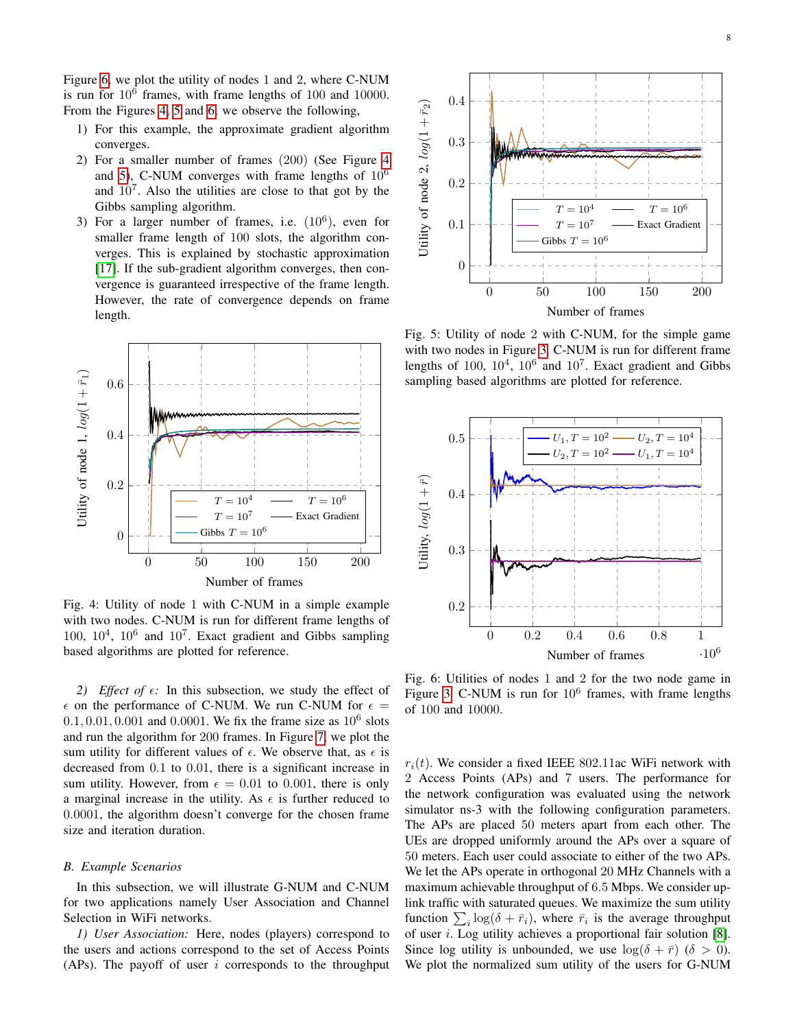Figure [6,](#page-7-2) we plot the utility of nodes 1 and 2, where C-NUM is run for  $10^6$  frames, with frame lengths of 100 and 10000. From the Figures [4,](#page-7-0) [5](#page-7-1) and [6,](#page-7-2) we observe the following,

- 1) For this example, the approximate gradient algorithm converges.
- 2) For a smaller number of frames (200) (See Figure [4](#page-7-0) and [5\)](#page-7-1), C-NUM converges with frame lengths of  $10^6$ and  $10<sup>7</sup>$ . Also the utilities are close to that got by the Gibbs sampling algorithm.
- 3) For a larger number of frames, i.e.  $(10^6)$ , even for smaller frame length of 100 slots, the algorithm converges. This is explained by stochastic approximation [\[17\]](#page-13-16). If the sub-gradient algorithm converges, then convergence is guaranteed irrespective of the frame length. However, the rate of convergence depends on frame length.

<span id="page-7-0"></span>

Fig. 4: Utility of node 1 with C-NUM in a simple example with two nodes. C-NUM is run for different frame lengths of  $100, 10^4, 10^6$  and  $10^7$ . Exact gradient and Gibbs sampling based algorithms are plotted for reference.

*2) Effect of*  $\epsilon$ : In this subsection, we study the effect of  $\epsilon$  on the performance of C-NUM. We run C-NUM for  $\epsilon$  =  $0.1, 0.01, 0.001$  and  $0.0001$ . We fix the frame size as  $10^6$  slots and run the algorithm for 200 frames. In Figure [7,](#page-8-1) we plot the sum utility for different values of  $\epsilon$ . We observe that, as  $\epsilon$  is decreased from 0.1 to 0.01, there is a significant increase in sum utility. However, from  $\epsilon = 0.01$  to 0.001, there is only a marginal increase in the utility. As  $\epsilon$  is further reduced to 0.0001, the algorithm doesn't converge for the chosen frame size and iteration duration.

#### *B. Example Scenarios*

In this subsection, we will illustrate G-NUM and C-NUM for two applications namely User Association and Channel Selection in WiFi networks.

*1) User Association:* Here, nodes (players) correspond to the users and actions correspond to the set of Access Points (APs). The payoff of user  $i$  corresponds to the throughput

<span id="page-7-1"></span>

Fig. 5: Utility of node 2 with C-NUM, for the simple game with two nodes in Figure [3.](#page-6-2) C-NUM is run for different frame lengths of 100,  $10^4$ ,  $10^6$  and  $10^7$ . Exact gradient and Gibbs sampling based algorithms are plotted for reference.

<span id="page-7-2"></span>

Fig. 6: Utilities of nodes 1 and 2 for the two node game in Figure [3.](#page-6-2) C-NUM is run for  $10^6$  frames, with frame lengths of 100 and 10000.

 $r_i(t)$ . We consider a fixed IEEE 802.11ac WiFi network with 2 Access Points (APs) and 7 users. The performance for the network configuration was evaluated using the network simulator ns-3 with the following configuration parameters. The APs are placed 50 meters apart from each other. The UEs are dropped uniformly around the APs over a square of 50 meters. Each user could associate to either of the two APs. We let the APs operate in orthogonal 20 MHz Channels with a maximum achievable throughput of 6.5 Mbps. We consider uplink traffic with saturated queues. We maximize the sum utility function  $\sum_i \log(\delta + \bar{r}_i)$ , where  $\bar{r}_i$  is the average throughput of user i. Log utility achieves a proportional fair solution [\[8\]](#page-13-7). Since log utility is unbounded, we use  $\log(\delta + \bar{r})$  ( $\delta > 0$ ). We plot the normalized sum utility of the users for G-NUM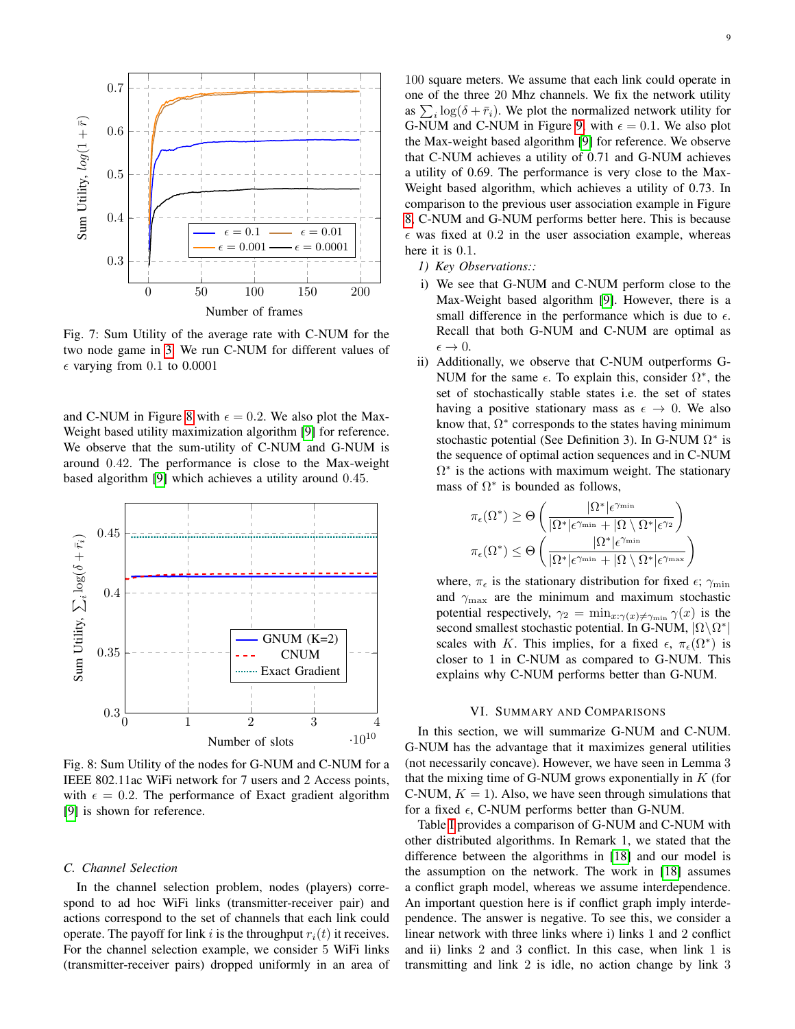<span id="page-8-1"></span>

Fig. 7: Sum Utility of the average rate with C-NUM for the two node game in [3.](#page-6-2) We run C-NUM for different values of  $\epsilon$  varying from 0.1 to 0.0001

and C-NUM in Figure [8](#page-8-2) with  $\epsilon = 0.2$ . We also plot the Max-Weight based utility maximization algorithm [\[9\]](#page-13-8) for reference. We observe that the sum-utility of C-NUM and G-NUM is around 0.42. The performance is close to the Max-weight based algorithm [\[9\]](#page-13-8) which achieves a utility around 0.45.

<span id="page-8-2"></span>

Fig. 8: Sum Utility of the nodes for G-NUM and C-NUM for a IEEE 802.11ac WiFi network for 7 users and 2 Access points, with  $\epsilon = 0.2$ . The performance of Exact gradient algorithm [\[9\]](#page-13-8) is shown for reference.

# *C. Channel Selection*

In the channel selection problem, nodes (players) correspond to ad hoc WiFi links (transmitter-receiver pair) and actions correspond to the set of channels that each link could operate. The payoff for link i is the throughput  $r_i(t)$  it receives. For the channel selection example, we consider 5 WiFi links (transmitter-receiver pairs) dropped uniformly in an area of

100 square meters. We assume that each link could operate in one of the three 20 Mhz channels. We fix the network utility as  $\sum_i \log(\delta + \bar{r}_i)$ . We plot the normalized network utility for G-NUM and C-NUM in Figure [9,](#page-9-2) with  $\epsilon = 0.1$ . We also plot the Max-weight based algorithm [\[9\]](#page-13-8) for reference. We observe that C-NUM achieves a utility of 0.71 and G-NUM achieves a utility of 0.69. The performance is very close to the Max-Weight based algorithm, which achieves a utility of 0.73. In comparison to the previous user association example in Figure [8,](#page-8-2) C-NUM and G-NUM performs better here. This is because  $\epsilon$  was fixed at 0.2 in the user association example, whereas here it is 0.1.

- *1) Key Observations::*
- i) We see that G-NUM and C-NUM perform close to the Max-Weight based algorithm [\[9\]](#page-13-8). However, there is a small difference in the performance which is due to  $\epsilon$ . Recall that both G-NUM and C-NUM are optimal as  $\epsilon \rightarrow 0.$
- ii) Additionally, we observe that C-NUM outperforms G-NUM for the same  $\epsilon$ . To explain this, consider  $\Omega^*$ , the set of stochastically stable states i.e. the set of states having a positive stationary mass as  $\epsilon \to 0$ . We also know that,  $\Omega^*$  corresponds to the states having minimum stochastic potential (See Definition 3). In G-NUM  $\Omega^*$  is the sequence of optimal action sequences and in C-NUM  $\Omega^*$  is the actions with maximum weight. The stationary mass of  $\Omega^*$  is bounded as follows,

$$
\begin{aligned} \pi_\epsilon(\Omega^*) &\geq \Theta\left(\frac{|\Omega^*| \epsilon^{\gamma_{\min}}}{|\Omega^*| \epsilon^{\gamma_{\min}} + |\Omega \setminus \Omega^*| \epsilon^{\gamma_2}}\right) \\ \pi_\epsilon(\Omega^*) &\leq \Theta\left(\frac{|\Omega^*| \epsilon^{\gamma_{\min}}}{|\Omega^*| \epsilon^{\gamma_{\min}} + |\Omega \setminus \Omega^*| \epsilon^{\gamma_{\max}}}\right) \end{aligned}
$$

where,  $\pi_{\epsilon}$  is the stationary distribution for fixed  $\epsilon$ ;  $\gamma_{\rm min}$ and  $\gamma_{\text{max}}$  are the minimum and maximum stochastic potential respectively,  $\gamma_2 = \min_{x: \gamma(x) \neq \gamma_{\min}} \gamma(x)$  is the second smallest stochastic potential. In G-NUM,  $|\Omega \backslash \Omega^*|$ scales with K. This implies, for a fixed  $\epsilon$ ,  $\pi_{\epsilon}(\Omega^*)$  is closer to 1 in C-NUM as compared to G-NUM. This explains why C-NUM performs better than G-NUM.

#### VI. SUMMARY AND COMPARISONS

<span id="page-8-0"></span>In this section, we will summarize G-NUM and C-NUM. G-NUM has the advantage that it maximizes general utilities (not necessarily concave). However, we have seen in Lemma 3 that the mixing time of G-NUM grows exponentially in  $K$  (for C-NUM,  $K = 1$ ). Also, we have seen through simulations that for a fixed  $\epsilon$ , C-NUM performs better than G-NUM.

Table [I](#page-10-1) provides a comparison of G-NUM and C-NUM with other distributed algorithms. In Remark 1, we stated that the difference between the algorithms in [\[18\]](#page-13-17) and our model is the assumption on the network. The work in [\[18\]](#page-13-17) assumes a conflict graph model, whereas we assume interdependence. An important question here is if conflict graph imply interdependence. The answer is negative. To see this, we consider a linear network with three links where i) links 1 and 2 conflict and ii) links 2 and 3 conflict. In this case, when link 1 is transmitting and link 2 is idle, no action change by link 3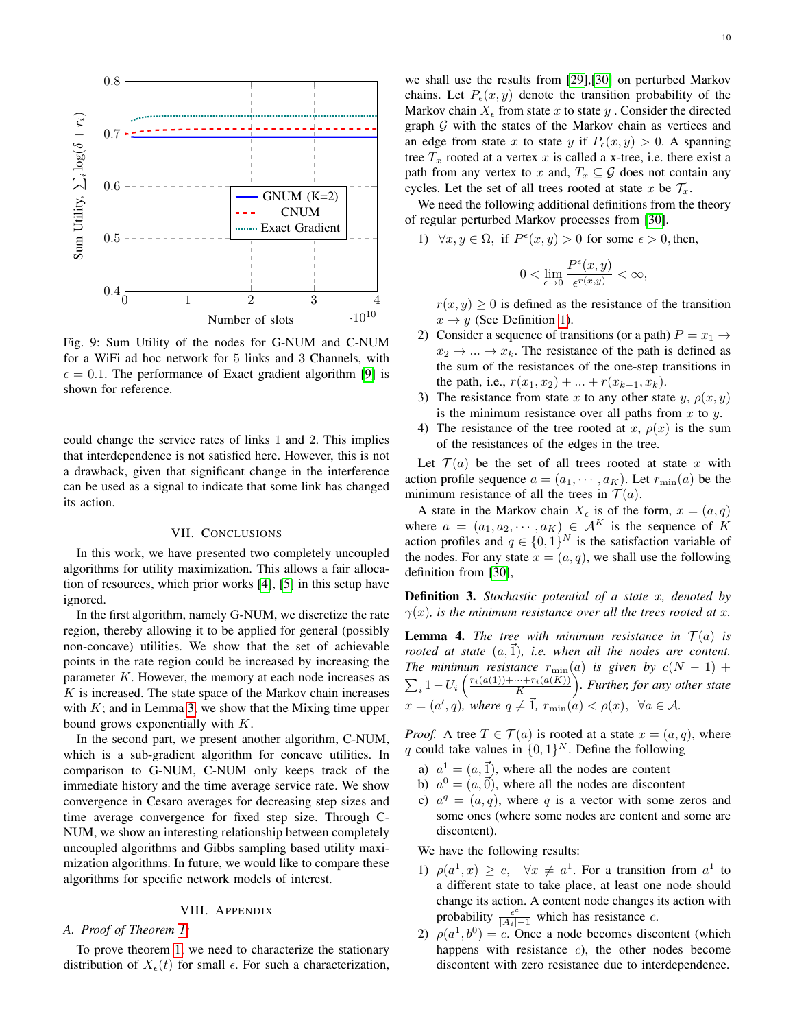<span id="page-9-2"></span>

Fig. 9: Sum Utility of the nodes for G-NUM and C-NUM for a WiFi ad hoc network for 5 links and 3 Channels, with  $\epsilon = 0.1$ . The performance of Exact gradient algorithm [\[9\]](#page-13-8) is shown for reference.

could change the service rates of links 1 and 2. This implies that interdependence is not satisfied here. However, this is not a drawback, given that significant change in the interference can be used as a signal to indicate that some link has changed its action.

#### VII. CONCLUSIONS

In this work, we have presented two completely uncoupled algorithms for utility maximization. This allows a fair allocation of resources, which prior works [\[4\]](#page-13-3), [\[5\]](#page-13-4) in this setup have ignored.

In the first algorithm, namely G-NUM, we discretize the rate region, thereby allowing it to be applied for general (possibly non-concave) utilities. We show that the set of achievable points in the rate region could be increased by increasing the parameter  $K$ . However, the memory at each node increases as  $K$  is increased. The state space of the Markov chain increases with  $K$ ; and in Lemma [3,](#page-0-0) we show that the Mixing time upper bound grows exponentially with  $K$ .

In the second part, we present another algorithm, C-NUM, which is a sub-gradient algorithm for concave utilities. In comparison to G-NUM, C-NUM only keeps track of the immediate history and the time average service rate. We show convergence in Cesaro averages for decreasing step sizes and time average convergence for fixed step size. Through C-NUM, we show an interesting relationship between completely uncoupled algorithms and Gibbs sampling based utility maximization algorithms. In future, we would like to compare these algorithms for specific network models of interest.

#### VIII. APPENDIX

# <span id="page-9-1"></span><span id="page-9-0"></span>*A. Proof of Theorem [1:](#page-3-1)*

To prove theorem [1,](#page-3-1) we need to characterize the stationary distribution of  $X_{\epsilon}(t)$  for small  $\epsilon$ . For such a characterization,

we shall use the results from [\[29\]](#page-13-27),[\[30\]](#page-13-28) on perturbed Markov chains. Let  $P_e(x, y)$  denote the transition probability of the Markov chain  $X_{\epsilon}$  from state x to state y. Consider the directed graph  $G$  with the states of the Markov chain as vertices and an edge from state x to state y if  $P_{\epsilon}(x, y) > 0$ . A spanning tree  $T_x$  rooted at a vertex x is called a x-tree, i.e. there exist a path from any vertex to x and,  $T_x \subseteq G$  does not contain any cycles. Let the set of all trees rooted at state x be  $\mathcal{T}_x$ .

We need the following additional definitions from the theory of regular perturbed Markov processes from [\[30\]](#page-13-28).

1)  $\forall x, y \in \Omega$ , if  $P^{\epsilon}(x, y) > 0$  for some  $\epsilon > 0$ , then,

$$
0<\lim_{\epsilon\to 0}\frac{P^\epsilon(x,y)}{\epsilon^{r(x,y)}}<\infty,
$$

 $r(x, y) \geq 0$  is defined as the resistance of the transition  $x \rightarrow y$  (See Definition [1\)](#page-3-3).

- 2) Consider a sequence of transitions (or a path)  $P = x_1 \rightarrow$  $x_2 \rightarrow \dots \rightarrow x_k$ . The resistance of the path is defined as the sum of the resistances of the one-step transitions in the path, i.e.,  $r(x_1, x_2) + ... + r(x_{k-1}, x_k)$ .
- 3) The resistance from state x to any other state y,  $\rho(x, y)$ is the minimum resistance over all paths from  $x$  to  $y$ .
- 4) The resistance of the tree rooted at x,  $\rho(x)$  is the sum of the resistances of the edges in the tree.

Let  $\mathcal{T}(a)$  be the set of all trees rooted at state x with action profile sequence  $a = (a_1, \dots, a_K)$ . Let  $r_{\min}(a)$  be the minimum resistance of all the trees in  $\mathcal{T}(a)$ .

A state in the Markov chain  $X_{\epsilon}$  is of the form,  $x = (a, q)$ where  $a = (a_1, a_2, \dots, a_K) \in \mathcal{A}^K$  is the sequence of K action profiles and  $q \in \{0,1\}^N$  is the satisfaction variable of the nodes. For any state  $x = (a, q)$ , we shall use the following definition from [\[30\]](#page-13-28),

Definition 3. *Stochastic potential of a state* x*, denoted by*  $\gamma(x)$ *, is the minimum resistance over all the trees rooted at x.* 

<span id="page-9-3"></span>**Lemma 4.** *The tree with minimum resistance in*  $\mathcal{T}(a)$  *is rooted at state*  $(a, \overline{1})$ *, i.e. when all the nodes are content. The minimum resistance*  $r_{\min}(a)$  *is given by*  $c(N - 1)$  +  $\sum_i 1-U_i\left(\frac{r_i(a(1))+\cdots+r_i(a(K))}{K}\right)$ . Further, for any other state  $x = (a', q)$ , where  $q \neq \vec{1}$ ,  $r_{\min}(a) < \rho(x)$ ,  $\forall a \in \mathcal{A}$ .

*Proof.* A tree  $T \in \mathcal{T}(a)$  is rooted at a state  $x = (a, q)$ , where q could take values in  $\{0,1\}^N$ . Define the following

- a)  $a^1 = (a, \vec{1})$ , where all the nodes are content
- b)  $a^0 = (a, \vec{0})$ , where all the nodes are discontent
- c)  $a^q = (a, q)$ , where q is a vector with some zeros and some ones (where some nodes are content and some are discontent).

We have the following results:

- 1)  $\rho(a^1, x) \geq c$ ,  $\forall x \neq a^1$ . For a transition from  $a^1$  to a different state to take place, at least one node should change its action. A content node changes its action with probability  $\frac{\epsilon^c}{|A_i|-1}$  which has resistance c.
- 2)  $\rho(a^1, b^0) = c$ . Once a node becomes discontent (which happens with resistance  $c$ ), the other nodes become discontent with zero resistance due to interdependence.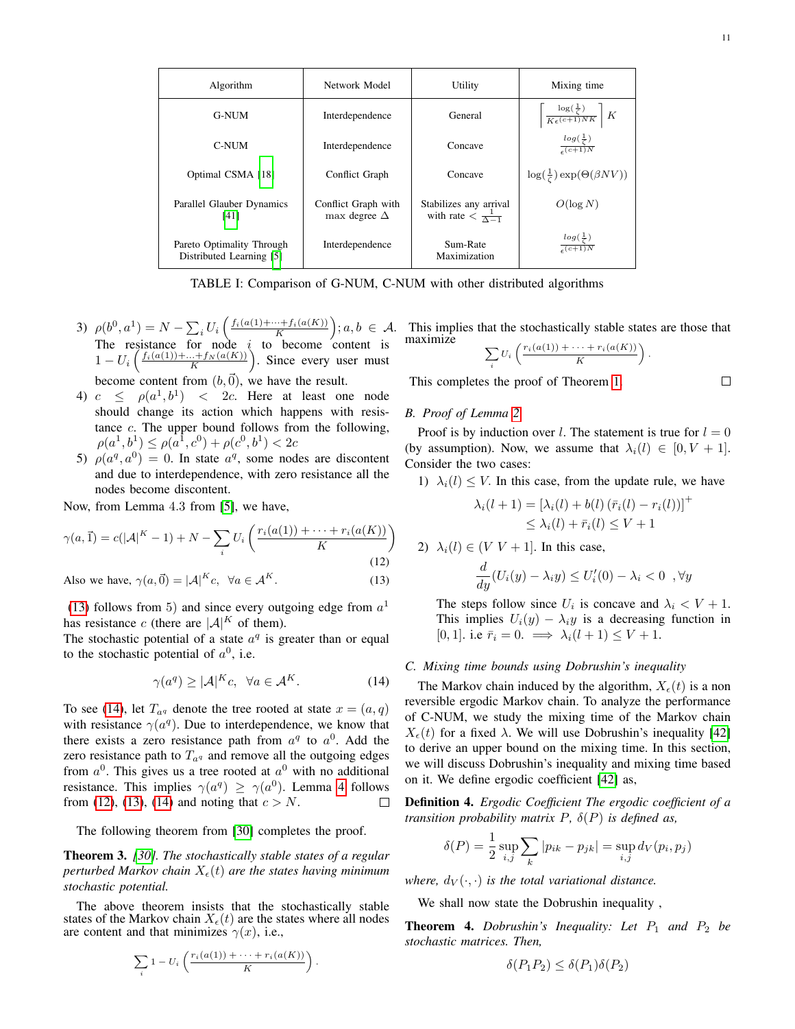<span id="page-10-1"></span>

| Algorithm                                             | Network Model                              | Utility                                                    | Mixing time                                                                    |
|-------------------------------------------------------|--------------------------------------------|------------------------------------------------------------|--------------------------------------------------------------------------------|
| <b>G-NUM</b>                                          | Interdependence                            | General                                                    | $\left\lceil \frac{\log(\frac{1}{\zeta})}{K\epsilon^{(c+1)NK}} \right\rceil K$ |
| C-NUM                                                 | Interdependence                            | Concave                                                    | $\frac{\log(\frac{1}{\zeta})}{\epsilon^{(c+1)N}}$                              |
| Optimal CSMA [18]                                     | Conflict Graph                             | Concave                                                    | $\log(\frac{1}{\zeta}) \exp(\Theta(\beta N V))$                                |
| Parallel Glauber Dynamics<br>[41]                     | Conflict Graph with<br>max degree $\Delta$ | Stabilizes any arrival<br>with rate $\frac{1}{\Delta - 1}$ | $O(\log N)$                                                                    |
| Pareto Optimality Through<br>Distributed Learning [5] | Interdependence                            | Sum-Rate<br>Maximization                                   | $\frac{\log(\frac{1}{\zeta})}{\epsilon^{(c+1)N}}$                              |

TABLE I: Comparison of G-NUM, C-NUM with other distributed algorithms

- 3)  $\rho(b^0, a^1) = N \sum_i U_i \left( \frac{f_i(a(1) + \dots + f_i(a(K))}{K} \right); a, b \in \mathcal{A}.$ The resistance for node  $i$  to become content is  $1-U_i\left(\frac{f_i(a(1))+...+f_N(a(K))}{K}\right)$ . Since every user must become content from  $(b,\vec{0})$ , we have the result.
- 4)  $c \le \rho(a^1, b^1)$  < 2c. Here at least one node should change its action which happens with resistance c. The upper bound follows from the following,  $\rho(a^1, b^1) \leq \rho(a^1, c^0) + \rho(c^0, b^1) < 2c$
- 5)  $\rho(a^q, a^0) = 0$ . In state  $a^q$ , some nodes are discontent and due to interdependence, with zero resistance all the nodes become discontent.

Now, from Lemma 4.3 from [\[5\]](#page-13-4), we have,

$$
\gamma(a,\vec{1}) = c(|A|^K - 1) + N - \sum_{i} U_i \left( \frac{r_i(a(1)) + \dots + r_i(a(K))}{K} \right)
$$
\n(12)

Also we have, 
$$
\gamma(a, \vec{0}) = |\mathcal{A}|^K c, \ \forall a \in \mathcal{A}^K.
$$
 (13)

[\(13\)](#page-10-2) follows from 5) and since every outgoing edge from  $a<sup>1</sup>$ has resistance c (there are  $|\mathcal{A}|^K$  of them).

The stochastic potential of a state  $a<sup>q</sup>$  is greater than or equal to the stochastic potential of  $a^0$ , i.e.

$$
\gamma(a^q) \geq |\mathcal{A}|^K c, \ \forall a \in \mathcal{A}^K. \tag{14}
$$

To see [\(14\)](#page-10-3), let  $T_{a,q}$  denote the tree rooted at state  $x = (a,q)$ with resistance  $\gamma(a^q)$ . Due to interdependence, we know that there exists a zero resistance path from  $a^q$  to  $a^0$ . Add the zero resistance path to  $T_{aq}$  and remove all the outgoing edges from  $a^0$ . This gives us a tree rooted at  $a^0$  with no additional resistance. This implies  $\gamma(a^q) \geq \gamma(a^0)$ . Lemma [4](#page-9-3) follows from [\(12\)](#page-10-4), [\(13\)](#page-10-2), [\(14\)](#page-10-3) and noting that  $c > N$ .  $\Box$ 

The following theorem from [\[30\]](#page-13-28) completes the proof.

Theorem 3. *[\[30\]](#page-13-28). The stochastically stable states of a regular perturbed Markov chain*  $X_{\epsilon}(t)$  *are the states having minimum stochastic potential.*

The above theorem insists that the stochastically stable states of the Markov chain  $X_{\epsilon}(t)$  are the states where all nodes are content and that minimizes  $\gamma(x)$ , i.e.,

$$
\sum_{i} 1 - U_i \left( \frac{r_i(a(1)) + \dots + r_i(a(K))}{K} \right)
$$

.

This implies that the stochastically stable states are those that maximize

$$
\sum_i U_i \left( \frac{r_i(a(1)) + \dots + r_i(a(K))}{K} \right).
$$

This completes the proof of Theorem [1.](#page-3-1)

#### <span id="page-10-0"></span>*B. Proof of Lemma [2](#page-5-6)*

Proof is by induction over l. The statement is true for  $l = 0$ (by assumption). Now, we assume that  $\lambda_i(l) \in [0, V + 1]$ . Consider the two cases:

1)  $\lambda_i(l) \leq V$ . In this case, from the update rule, we have

$$
\lambda_i(l+1) = \left[\lambda_i(l) + b(l) \left(\bar{r}_i(l) - r_i(l)\right)\right]^+
$$
  

$$
\leq \lambda_i(l) + \bar{r}_i(l) \leq V + 1
$$

<span id="page-10-4"></span><span id="page-10-2"></span>2)  $\lambda_i(l) \in (V V + 1]$ . In this case,

$$
\frac{d}{dy}(U_i(y) - \lambda_i y) \le U'_i(0) - \lambda_i < 0 \quad \forall y
$$

The steps follow since  $U_i$  is concave and  $\lambda_i < V + 1$ . This implies  $U_i(y) - \lambda_i y$  is a decreasing function in [0, 1]. i.e  $\bar{r}_i = 0. \implies \lambda_i(l+1) \leq V+1.$ 

# <span id="page-10-3"></span>*C. Mixing time bounds using Dobrushin's inequality*

The Markov chain induced by the algorithm,  $X_{\epsilon}(t)$  is a non reversible ergodic Markov chain. To analyze the performance of C-NUM, we study the mixing time of the Markov chain  $X_{\epsilon}(t)$  for a fixed  $\lambda$ . We will use Dobrushin's inequality [\[42\]](#page-13-40) to derive an upper bound on the mixing time. In this section, we will discuss Dobrushin's inequality and mixing time based on it. We define ergodic coefficient [\[42\]](#page-13-40) as,

Definition 4. *Ergodic Coefficient The ergodic coefficient of a transition probability matrix* P*,* δ(P) *is defined as,*

$$
\delta(P) = \frac{1}{2} \sup_{i,j} \sum_{k} |p_{ik} - p_{jk}| = \sup_{i,j} d_V(p_i, p_j)
$$

*where,*  $d_V(\cdot, \cdot)$  *is the total variational distance.* 

We shall now state the Dobrushin inequality ,

**Theorem 4.** Dobrushin's Inequality: Let  $P_1$  and  $P_2$  be *stochastic matrices. Then,*

$$
\delta(P_1 P_2) \le \delta(P_1)\delta(P_2)
$$

 $\Box$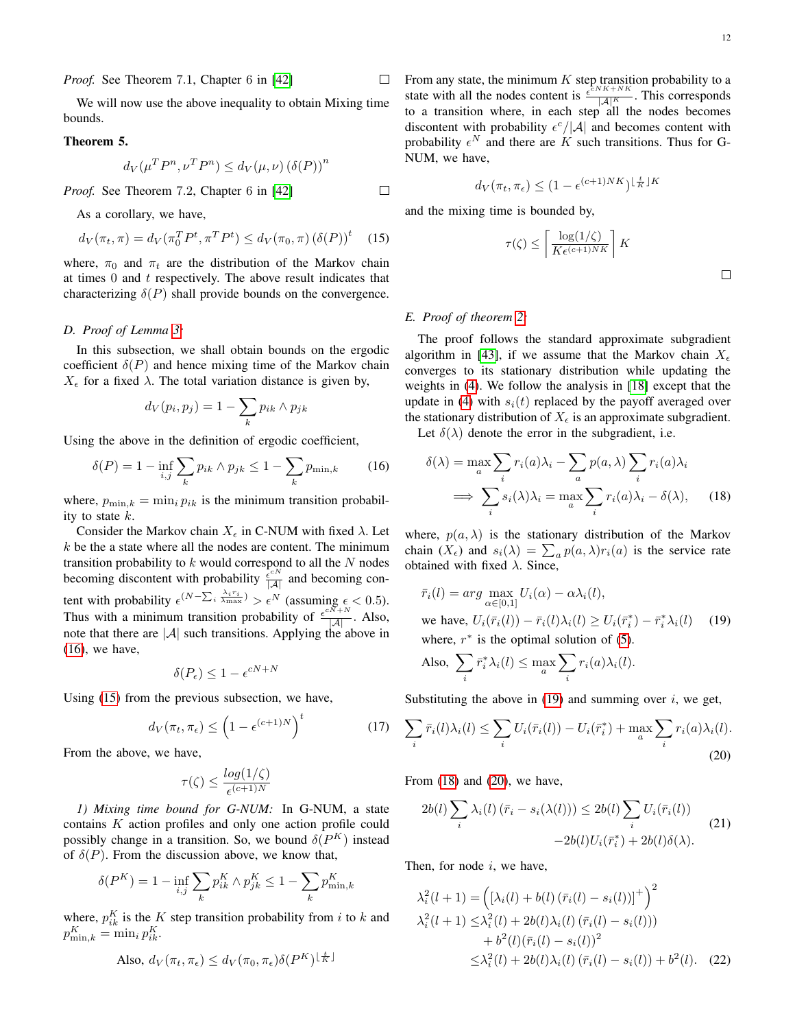<span id="page-11-5"></span> $\Box$ 

*Proof.* See Theorem 7.1, Chapter 6 in [\[42\]](#page-13-40)

We will now use the above inequality to obtain Mixing time bounds.

# Theorem 5.

$$
d_V(\mu^T P^n, \nu^T P^n) \le d_V(\mu, \nu) (\delta(P))^n
$$

*Proof.* See Theorem 7.2, Chapter 6 in [\[42\]](#page-13-40)

As a corollary, we have,

$$
d_V(\pi_t, \pi) = d_V(\pi_0^T P^t, \pi^T P^t) \le d_V(\pi_0, \pi) (\delta(P))^t \quad (15)
$$

where,  $\pi_0$  and  $\pi_t$  are the distribution of the Markov chain at times  $0$  and  $t$  respectively. The above result indicates that characterizing  $\delta(P)$  shall provide bounds on the convergence.

# <span id="page-11-0"></span>*D. Proof of Lemma [3:](#page-0-0)*

In this subsection, we shall obtain bounds on the ergodic coefficient  $\delta(P)$  and hence mixing time of the Markov chain  $X_{\epsilon}$  for a fixed  $\lambda$ . The total variation distance is given by,

$$
d_V(p_i, p_j) = 1 - \sum_k p_{ik} \wedge p_{jk}
$$

Using the above in the definition of ergodic coefficient,

$$
\delta(P) = 1 - \inf_{i,j} \sum_{k} p_{ik} \wedge p_{jk} \le 1 - \sum_{k} p_{\min,k} \tag{16}
$$

where,  $p_{\min,k} = \min_i p_{ik}$  is the minimum transition probability to state  $k$ .

Consider the Markov chain  $X_{\epsilon}$  in C-NUM with fixed  $\lambda$ . Let  $k$  be the a state where all the nodes are content. The minimum transition probability to k would correspond to all the N nodes becoming discontent with probability  $\frac{\hat{\epsilon}^{cN}}{|\mathcal{A}|}$  and becoming content with probability  $\epsilon^{(N-\sum_i \frac{\lambda_i r_i}{N_{\text{max}}})} > \epsilon^N$  (assuming  $\epsilon < 0.5$ ). Thus with a minimum transition probability of  $\frac{\epsilon^{CN+N}}{|A|}$ . Also, note that there are  $|\mathcal{A}|$  such transitions. Applying the above in [\(16\)](#page-11-2), we have,

$$
\delta(P_{\epsilon}) \le 1 - \epsilon^{cN+N}
$$

Using [\(15\)](#page-11-3) from the previous subsection, we have,

$$
d_V(\pi_t, \pi_\epsilon) \le \left(1 - \epsilon^{(c+1)N}\right)^t \tag{17}
$$

From the above, we have,

$$
\tau(\zeta) \le \frac{\log(1/\zeta)}{\epsilon^{(c+1)N}}
$$

*1) Mixing time bound for G-NUM:* In G-NUM, a state contains K action profiles and only one action profile could possibly change in a transition. So, we bound  $\delta(P^K)$  instead of  $\delta(P)$ . From the discussion above, we know that,

$$
\delta(P^{K}) = 1 - \inf_{i,j} \sum_{k} p_{ik}^{K} \wedge p_{jk}^{K} \le 1 - \sum_{k} p_{\min,k}^{K}
$$

where,  $p_{ik}^K$  is the K step transition probability from i to k and  $p_{\min,k}^K = \min_i p_{ik}^K.$ 

Also, 
$$
d_V(\pi_t, \pi_{\epsilon}) \le d_V(\pi_0, \pi_{\epsilon}) \delta(P^K)^{\lfloor \frac{t}{K} \rfloor}
$$

From any state, the minimum  $K$  step transition probability to a state with all the nodes content is  $\frac{\epsilon^{CNK+NK}}{|A|^K}$ . This corresponds to a transition where, in each step all the nodes becomes discontent with probability  $\epsilon^{c}/|\mathcal{A}|$  and becomes content with probability  $\epsilon^N$  and there are K such transitions. Thus for G-NUM, we have,

$$
d_V(\pi_t, \pi_{\epsilon}) \le (1 - \epsilon^{(c+1)NK})^{\lfloor \frac{t}{K} \rfloor K}
$$

and the mixing time is bounded by,

 $\tau$ 

$$
\left(\zeta\right) \leq \left\lceil \frac{\log(1/\zeta)}{K \epsilon^{(c+1)NK}} \right\rceil K
$$

#### <span id="page-11-1"></span>*E. Proof of theorem [2:](#page-6-1)*

 $\Box$ 

<span id="page-11-3"></span> $\Box$ 

The proof follows the standard approximate subgradient algorithm in [\[43\]](#page-13-41), if we assume that the Markov chain  $X_{\epsilon}$ converges to its stationary distribution while updating the weights in [\(4\)](#page-4-4). We follow the analysis in [\[18\]](#page-13-17) except that the update in [\(4\)](#page-4-4) with  $s_i(t)$  replaced by the payoff averaged over the stationary distribution of  $X_{\epsilon}$  is an approximate subgradient. Let  $\delta(\lambda)$  denote the error in the subgradient, i.e.

<span id="page-11-2"></span>

$$
\delta(\lambda) = \max_{a} \sum_{i} r_i(a)\lambda_i - \sum_{a} p(a,\lambda) \sum_{i} r_i(a)\lambda_i
$$

$$
\implies \sum_{i} s_i(\lambda)\lambda_i = \max_{a} \sum_{i} r_i(a)\lambda_i - \delta(\lambda), \qquad (18)
$$

where,  $p(a, \lambda)$  is the stationary distribution of the Markov chain  $(X_{\epsilon})$  and  $s_i(\lambda) = \sum_a p(a,\lambda) r_i(a)$  is the service rate obtained with fixed  $\lambda$ . Since,

$$
\bar{r}_i(l) = \arg \max_{\alpha \in [0,1]} U_i(\alpha) - \alpha \lambda_i(l),
$$
  
we have,  $U_i(\bar{r}_i(l)) - \bar{r}_i(l)\lambda_i(l) \ge U_i(\bar{r}_i^*) - \bar{r}_i^* \lambda_i(l)$  (19)  
where,  $r^*$  is the optimal solution of (5).

<span id="page-11-4"></span>Also, 
$$
\sum_{i} \bar{r}_{i}^{*} \lambda_{i}(l) \leq \max_{a} \sum_{i} r_{i}(a) \lambda_{i}(l).
$$

Substituting the above in  $(19)$  and summing over *i*, we get,

<span id="page-11-9"></span>
$$
\sum_{i} \bar{r}_i(l)\lambda_i(l) \le \sum_{i} U_i(\bar{r}_i(l)) - U_i(\bar{r}_i^*) + \max_{a} \sum_{i} r_i(a)\lambda_i(l).
$$
\n(20)

From  $(18)$  and  $(20)$ , we have,

<span id="page-11-8"></span><span id="page-11-6"></span>
$$
2b(l)\sum_{i}\lambda_i(l)(\bar{r}_i - s_i(\lambda(l))) \leq 2b(l)\sum_{i}U_i(\bar{r}_i(l))
$$
  
-2b(l) $U_i(\bar{r}_i^*) + 2b(l)\delta(\lambda)$ . (21)

Then, for node  $i$ , we have,

<span id="page-11-7"></span>
$$
\lambda_i^2(l+1) = ((\lambda_i(l) + b(l) (\bar{r}_i(l) - s_i(l)))^+ )^2
$$
  
\n
$$
\lambda_i^2(l+1) \leq \lambda_i^2(l) + 2b(l)\lambda_i(l) (\bar{r}_i(l) - s_i(l)))
$$
  
\n
$$
+ b^2(l) (\bar{r}_i(l) - s_i(l))^2
$$
  
\n
$$
\leq \lambda_i^2(l) + 2b(l)\lambda_i(l) (\bar{r}_i(l) - s_i(l)) + b^2(l). \quad (22)
$$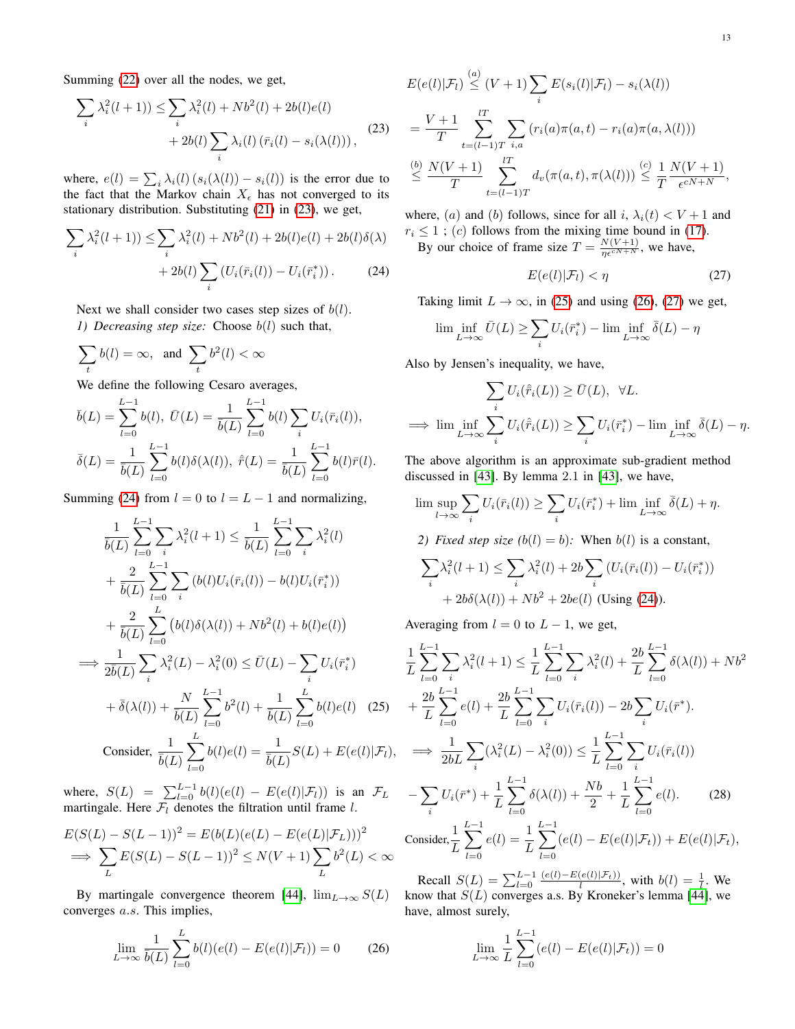Summing [\(22\)](#page-11-7) over all the nodes, we get,

$$
\sum_{i} \lambda_i^2 (l+1) \le \sum_{i} \lambda_i^2 (l) + Nb^2(l) + 2b(l)e(l)
$$
  
+ 2b(l) 
$$
\sum_{i} \lambda_i(l) (\bar{r}_i(l) - s_i(\lambda(l))),
$$
 (23)

where,  $e(l) = \sum_i \lambda_i(l) (s_i(\lambda(l)) - s_i(l))$  is the error due to the fact that the Markov chain  $X_{\epsilon}$  has not converged to its stationary distribution. Substituting [\(21\)](#page-11-8) in [\(23\)](#page-12-0), we get,

$$
\sum_{i} \lambda_i^2 (l+1) \le \sum_{i} \lambda_i^2 (l) + Nb^2 (l) + 2b(l)e(l) + 2b(l)\delta(\lambda) + 2b(l) \sum_{i} \left( U_i(\bar{r}_i(l)) - U_i(\bar{r}_i^*) \right). \tag{24}
$$

Next we shall consider two cases step sizes of  $b(l)$ . *1) Decreasing step size:* Choose b(l) such that,

$$
\sum_t b(l) = \infty, \text{ and } \sum_t b^2(l) < \infty
$$

We define the following Cesaro averages,

$$
\bar{b}(L) = \sum_{l=0}^{L-1} b(l), \ \bar{U}(L) = \frac{1}{\bar{b}(L)} \sum_{l=0}^{L-1} b(l) \sum_{i} U_i(\bar{r}_i(l)),
$$
  

$$
\bar{\delta}(L) = \frac{1}{\bar{b}(L)} \sum_{l=0}^{L-1} b(l) \delta(\lambda(l)), \ \hat{\bar{r}}(L) = \frac{1}{\bar{b}(L)} \sum_{l=0}^{L-1} b(l) \bar{r}(l).
$$

Summing [\(24\)](#page-12-1) from  $l = 0$  to  $l = L - 1$  and normalizing,

$$
\frac{1}{\bar{b}(L)} \sum_{l=0}^{L-1} \sum_{i} \lambda_i^2 (l+1) \le \frac{1}{\bar{b}(L)} \sum_{l=0}^{L-1} \sum_{i} \lambda_i^2 (l) \n+ \frac{2}{\bar{b}(L)} \sum_{l=0}^{L-1} \sum_{i} (b(l)U_i(\bar{r}_i(l)) - b(l)U_i(\bar{r}_i^*)) \n+ \frac{2}{\bar{b}(L)} \sum_{l=0}^{L} (b(l)\delta(\lambda(l)) + Nb^2(l) + b(l)e(l)) \n\implies \frac{1}{2\bar{b}(L)} \sum_{i} \lambda_i^2 (L) - \lambda_i^2 (0) \le \bar{U}(L) - \sum_{i} U_i(\bar{r}_i^*) \n+ \bar{\delta}(\lambda(l)) + \frac{N}{\bar{b}(L)} \sum_{l=0}^{L-1} b^2 (l) + \frac{1}{\bar{b}(L)} \sum_{l=0}^{L} b(l)e(l) \quad (25) \n\text{Consider, } \frac{1}{\bar{b}(L)} \sum_{l=0}^{L} b(l)e(l) = \frac{1}{\bar{b}(L)} S(L) + E(e(l)|\mathcal{F}_l),
$$

where,  $S(L) = \sum_{l=0}^{L-1} b(l)(e(l) - E(e(l)|\mathcal{F}_l))$  is an  $\mathcal{F}_L$ martingale. Here  $\mathcal{F}_l$  denotes the filtration until frame l.

$$
E(S(L) - S(L-1))^{2} = E(b(L)(e(L) - E(e(L)|\mathcal{F}_{L})))^{2}
$$
  
\n
$$
\implies \sum_{L} E(S(L) - S(L-1))^{2} \le N(V+1) \sum_{L} b^{2}(L) < \infty
$$

By martingale convergence theorem [\[44\]](#page-13-42),  $\lim_{L\to\infty} S(L)$ converges a.s. This implies,

$$
\lim_{L \to \infty} \frac{1}{\bar{b}(L)} \sum_{l=0}^{L} b(l) (e(l) - E(e(l)|\mathcal{F}_l)) = 0 \tag{26}
$$

<span id="page-12-0"></span>
$$
E(e(l)|\mathcal{F}_l) \stackrel{(a)}{\leq} (V+1) \sum_i E(s_i(l)|\mathcal{F}_l) - s_i(\lambda(l))
$$
  
= 
$$
\frac{V+1}{T} \sum_{t=(l-1)T}^{lT} \sum_{i,a} (r_i(a)\pi(a,t) - r_i(a)\pi(a,\lambda(l)))
$$
  

$$
\stackrel{(b)}{\leq} \frac{N(V+1)}{T} \sum_{t=(l-1)T}^{lT} d_v(\pi(a,t), \pi(\lambda(l))) \stackrel{(c)}{\leq} \frac{1}{T} \frac{N(V+1)}{\epsilon^{cN+N}},
$$

where, (a) and (b) follows, since for all i,  $\lambda_i(t) < V + 1$  and  $r_i \leq 1$ ; (c) follows from the mixing time bound in [\(17\)](#page-11-9).

<span id="page-12-1"></span>By our choice of frame size  $T = \frac{N(V+1)}{\eta \epsilon^{cN+N}}$ , we have,

<span id="page-12-4"></span>
$$
E(e(l)|\mathcal{F}_l) < \eta \tag{27}
$$

Taking limit  $L \to \infty$ , in [\(25\)](#page-12-2) and using [\(26\)](#page-12-3), [\(27\)](#page-12-4) we get,

$$
\liminf_{L \to \infty} \overline{U}(L) \ge \sum_{i} U_i(\overline{r}_i^*) - \liminf_{L \to \infty} \overline{\delta}(L) - \eta
$$

Also by Jensen's inequality, we have,

$$
\sum_{i} U_{i}(\hat{r}_{i}(L)) \ge \bar{U}(L), \quad \forall L.
$$
\n
$$
\implies \lim \inf_{L \to \infty} \sum_{i} U_{i}(\hat{r}_{i}(L)) \ge \sum_{i} U_{i}(\bar{r}_{i}^{*}) - \lim \inf_{L \to \infty} \bar{\delta}(L) - \eta.
$$

The above algorithm is an approximate sub-gradient method discussed in [\[43\]](#page-13-41). By lemma 2.1 in [\[43\]](#page-13-41), we have,

$$
\limsup_{l \to \infty} \sum_{i} U_i(\bar{r}_i(l)) \ge \sum_{i} U_i(\bar{r}_i^*) + \liminf_{L \to \infty} \bar{\delta}(L) + \eta.
$$

*2) Fixed step size*  $(b(l) = b)$ *:* When  $b(l)$  is a constant,

$$
\sum_{i} \lambda_i^2 (l+1) \le \sum_{i} \lambda_i^2 (l) + 2b \sum_{i} (U_i(\bar{r}_i(l)) - U_i(\bar{r}_i^*))
$$
  
+ 2b $\delta(\lambda(l)) + Nb^2 + 2be(l)$  (Using (24)).

Averaging from  $l = 0$  to  $L - 1$ , we get,

<span id="page-12-2"></span>
$$
\frac{1}{L} \sum_{l=0}^{L-1} \sum_{i} \lambda_i^2 (l+1) \leq \frac{1}{L} \sum_{l=0}^{L-1} \sum_{i} \lambda_i^2 (l) + \frac{2b}{L} \sum_{l=0}^{L-1} \delta(\lambda(l)) + Nb^2
$$
\n
$$
+ \frac{2b}{L} \sum_{l=0}^{L-1} e(l) + \frac{2b}{L} \sum_{l=0}^{L-1} \sum_{i} U_i(\bar{r}_i(l)) - 2b \sum_{i} U_i(\bar{r}^*).
$$
\n
$$
\implies \frac{1}{2bL} \sum_{i} (\lambda_i^2 (L) - \lambda_i^2(0)) \leq \frac{1}{L} \sum_{l=0}^{L-1} \sum_{i} U_i(\bar{r}_i(l))
$$
\n
$$
- \sum_{i} U_i(\bar{r}^*) + \frac{1}{L} \sum_{l=0}^{L-1} \delta(\lambda(l)) + \frac{Nb}{2} + \frac{1}{L} \sum_{l=0}^{L-1} e(l). \qquad (28)
$$
\nConsider,  $\frac{1}{L} \sum_{l=0}^{L-1} e(l) = \frac{1}{L} \sum_{l=0}^{L-1} (e(l) - E(e(l)|\mathcal{F}_t)) + E(e(l)|\mathcal{F}_t),$ 

<span id="page-12-3"></span>Recall  $S(L) = \sum_{l=0}^{L-1} \frac{(e(l) - E(e(l)|\mathcal{F}_t))}{l}$ , with  $b(l) = \frac{1}{l}$ . We know that  $S(L)$  converges a.s. By Kroneker's lemma [\[44\]](#page-13-42), we have, almost surely,

<span id="page-12-5"></span>
$$
\lim_{L \to \infty} \frac{1}{L} \sum_{l=0}^{L-1} (e(l) - E(e(l)|\mathcal{F}_t)) = 0
$$